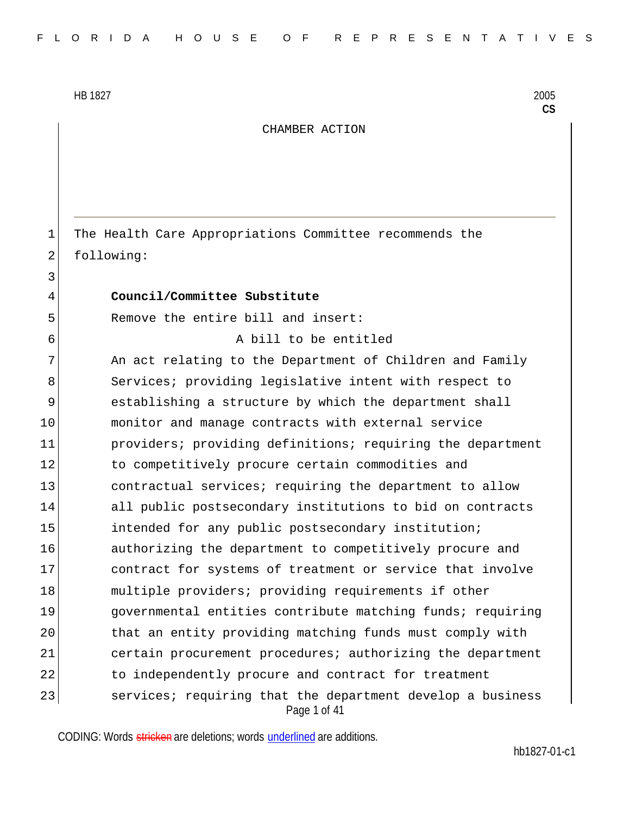3

CHAMBER ACTION

1 The Health Care Appropriations Committee recommends the 2 following:

## 4 **Council/Committee Substitute**

5 Remove the entire bill and insert:

6 A bill to be entitled

Page 1 of 41 7 An act relating to the Department of Children and Family 8 Services; providing legislative intent with respect to 9 establishing a structure by which the department shall 10 monitor and manage contracts with external service 11 providers; providing definitions; requiring the department 12 to competitively procure certain commodities and 13 contractual services; requiring the department to allow 14 all public postsecondary institutions to bid on contracts 15 intended for any public postsecondary institution; 16 authorizing the department to competitively procure and 17 contract for systems of treatment or service that involve 18 multiple providers; providing requirements if other 19 governmental entities contribute matching funds; requiring 20 that an entity providing matching funds must comply with 21 certain procurement procedures; authorizing the department 22 to independently procure and contract for treatment 23 services; requiring that the department develop a business

CODING: Words stricken are deletions; words underlined are additions.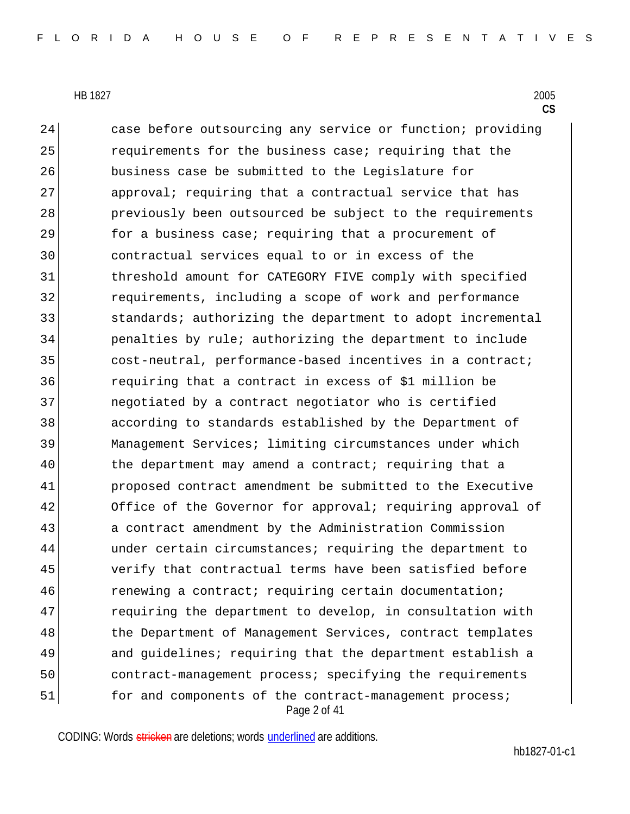Page 2 of 41 24 case before outsourcing any service or function; providing 25 requirements for the business case; requiring that the 26 business case be submitted to the Legislature for 27 approval; requiring that a contractual service that has 28 previously been outsourced be subject to the requirements 29 **for a business case; requiring that a procurement of** 30 contractual services equal to or in excess of the 31 threshold amount for CATEGORY FIVE comply with specified 32 requirements, including a scope of work and performance 33 31 standards; authorizing the department to adopt incremental 34 penalties by rule; authorizing the department to include 35 cost-neutral, performance-based incentives in a contract; 36 requiring that a contract in excess of \$1 million be 37 negotiated by a contract negotiator who is certified 38 according to standards established by the Department of 39 Management Services; limiting circumstances under which 40 the department may amend a contract; requiring that a 41 proposed contract amendment be submitted to the Executive 42 Office of the Governor for approval; requiring approval of 43 a contract amendment by the Administration Commission 44 under certain circumstances; requiring the department to 45 verify that contractual terms have been satisfied before 46 **renewing a contract; requiring certain documentation;** 47 requiring the department to develop, in consultation with 48 the Department of Management Services, contract templates 49 and guidelines; requiring that the department establish a 50 contract-management process; specifying the requirements 51 for and components of the contract-management process;

CODING: Words stricken are deletions; words underlined are additions.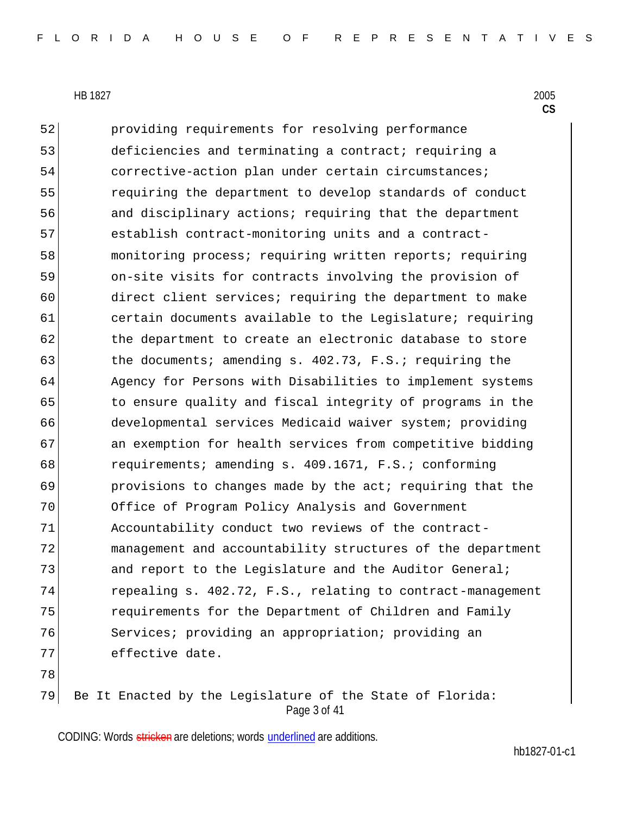52 providing requirements for resolving performance 53 deficiencies and terminating a contract; requiring a 54 corrective-action plan under certain circumstances; 55 requiring the department to develop standards of conduct 56 and disciplinary actions; requiring that the department 57 establish contract-monitoring units and a contract-58 monitoring process; requiring written reports; requiring 59 on-site visits for contracts involving the provision of 60 direct client services; requiring the department to make 61 certain documents available to the Legislature; requiring 62 the department to create an electronic database to store 63 the documents; amending s. 402.73, F.S.; requiring the 64 Agency for Persons with Disabilities to implement systems 65 to ensure quality and fiscal integrity of programs in the 66 developmental services Medicaid waiver system; providing 67 an exemption for health services from competitive bidding 68 requirements; amending s. 409.1671, F.S.; conforming 69 **provisions to changes made by the act; requiring that the** 70 Office of Program Policy Analysis and Government 71 Accountability conduct two reviews of the contract-72 management and accountability structures of the department 73 and report to the Legislature and the Auditor General; 74 repealing s. 402.72, F.S., relating to contract-management 75 **requirements for the Department of Children and Family** 76 Services; providing an appropriation; providing an 77 effective date. 78

Page 3 of 41 79 Be It Enacted by the Legislature of the State of Florida:

CODING: Words stricken are deletions; words underlined are additions.

hb1827-01-c1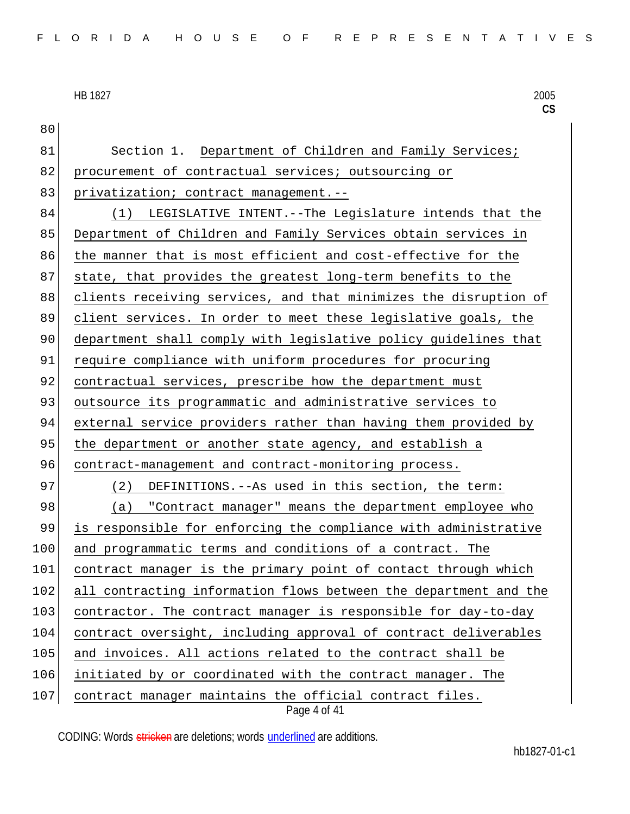Page 4 of 41 80 81 Section 1. Department of Children and Family Services; 82 procurement of contractual services; outsourcing or 83 privatization; contract management.--84 (1) LEGISLATIVE INTENT.--The Legislature intends that the 85 Department of Children and Family Services obtain services in 86 the manner that is most efficient and cost-effective for the 87 state, that provides the greatest long-term benefits to the 88 clients receiving services, and that minimizes the disruption of 89 client services. In order to meet these legislative goals, the 90 department shall comply with legislative policy guidelines that 91 require compliance with uniform procedures for procuring 92 contractual services, prescribe how the department must 93 outsource its programmatic and administrative services to 94 external service providers rather than having them provided by 95 the department or another state agency, and establish a 96 contract-management and contract-monitoring process. 97 (2) DEFINITIONS.--As used in this section, the term: 98 (a) "Contract manager" means the department employee who 99 is responsible for enforcing the compliance with administrative 100 and programmatic terms and conditions of a contract. The 101 contract manager is the primary point of contact through which 102 all contracting information flows between the department and the 103 contractor. The contract manager is responsible for day-to-day 104 contract oversight, including approval of contract deliverables 105 and invoices. All actions related to the contract shall be 106 initiated by or coordinated with the contract manager. The 107 contract manager maintains the official contract files.

CODING: Words stricken are deletions; words underlined are additions.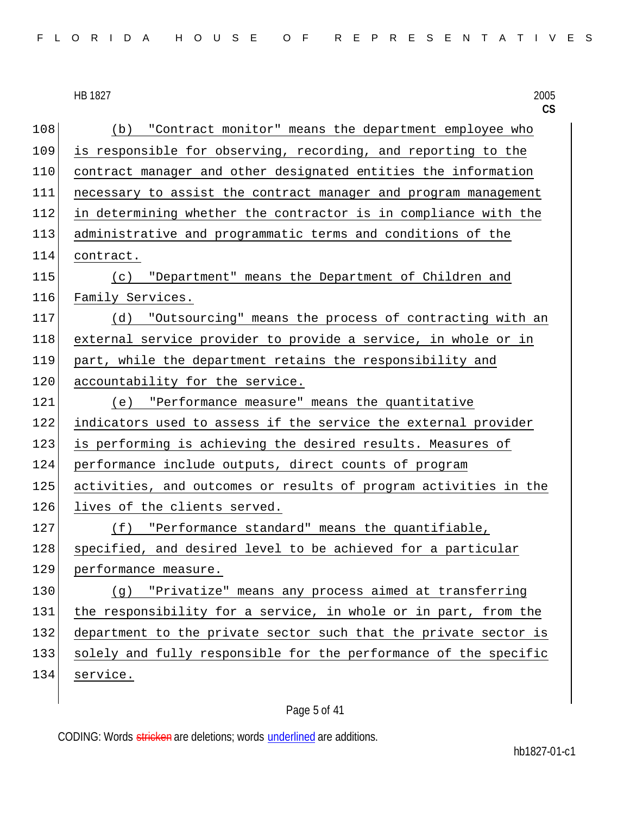| FLORIDA HOUSE OF REPRESENTATIVES |  |
|----------------------------------|--|
|----------------------------------|--|

#### HB 1827 HB 1827 2005

|     | $\mathsf{CS}$                                                    |
|-----|------------------------------------------------------------------|
| 108 | (b) "Contract monitor" means the department employee who         |
| 109 | is responsible for observing, recording, and reporting to the    |
| 110 | contract manager and other designated entities the information   |
| 111 | necessary to assist the contract manager and program management  |
| 112 | in determining whether the contractor is in compliance with the  |
| 113 | administrative and programmatic terms and conditions of the      |
| 114 | contract.                                                        |
| 115 | (c) "Department" means the Department of Children and            |
| 116 | Family Services.                                                 |
| 117 | (d) "Outsourcing" means the process of contracting with an       |
| 118 | external service provider to provide a service, in whole or in   |
| 119 | part, while the department retains the responsibility and        |
| 120 | accountability for the service.                                  |
| 121 | (e) "Performance measure" means the quantitative                 |
| 122 | indicators used to assess if the service the external provider   |
| 123 | is performing is achieving the desired results. Measures of      |
| 124 | performance include outputs, direct counts of program            |
| 125 | activities, and outcomes or results of program activities in the |
| 126 | lives of the clients served.                                     |
| 127 | (f) "Performance standard" means the quantifiable,               |
| 128 | specified, and desired level to be achieved for a particular     |
| 129 | performance measure.                                             |
| 130 | "Privatize" means any process aimed at transferring<br>(g)       |
| 131 | the responsibility for a service, in whole or in part, from the  |
| 132 | department to the private sector such that the private sector is |
| 133 | solely and fully responsible for the performance of the specific |
| 134 | service.                                                         |

# Page 5 of 41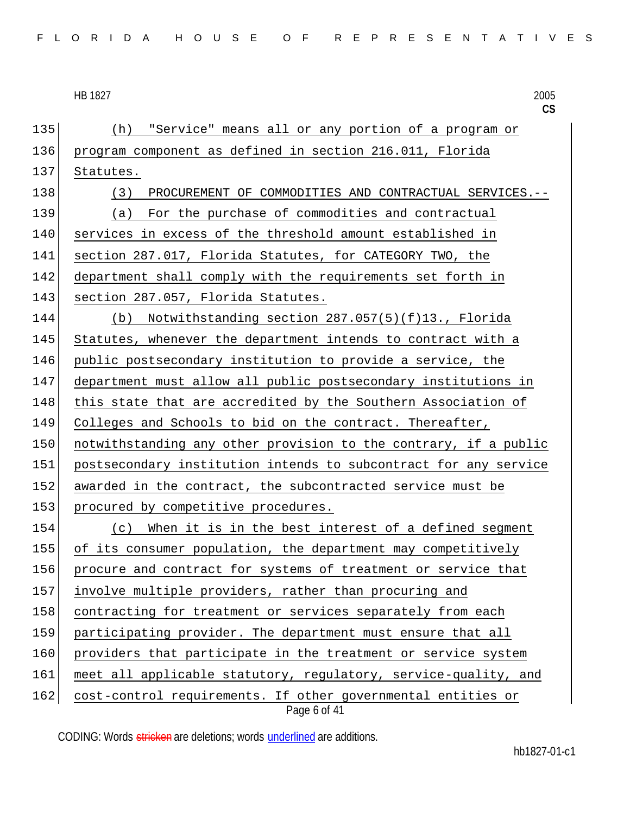**CS** Page 6 of 41 135 (h) "Service" means all or any portion of a program or 136 program component as defined in section 216.011, Florida 137 Statutes. 138 (3) PROCUREMENT OF COMMODITIES AND CONTRACTUAL SERVICES.--139 (a) For the purchase of commodities and contractual 140 services in excess of the threshold amount established in 141 section 287.017, Florida Statutes, for CATEGORY TWO, the 142 department shall comply with the requirements set forth in 143 section 287.057, Florida Statutes. 144 (b) Notwithstanding section 287.057(5)(f)13., Florida 145 Statutes, whenever the department intends to contract with a 146 public postsecondary institution to provide a service, the 147 department must allow all public postsecondary institutions in 148 this state that are accredited by the Southern Association of 149 Colleges and Schools to bid on the contract. Thereafter, 150 notwithstanding any other provision to the contrary, if a public 151 postsecondary institution intends to subcontract for any service 152 awarded in the contract, the subcontracted service must be 153 procured by competitive procedures. 154 (c) When it is in the best interest of a defined segment 155 of its consumer population, the department may competitively 156 procure and contract for systems of treatment or service that 157 involve multiple providers, rather than procuring and 158 contracting for treatment or services separately from each 159 participating provider. The department must ensure that all 160 providers that participate in the treatment or service system 161 meet all applicable statutory, regulatory, service-quality, and 162 cost-control requirements. If other governmental entities or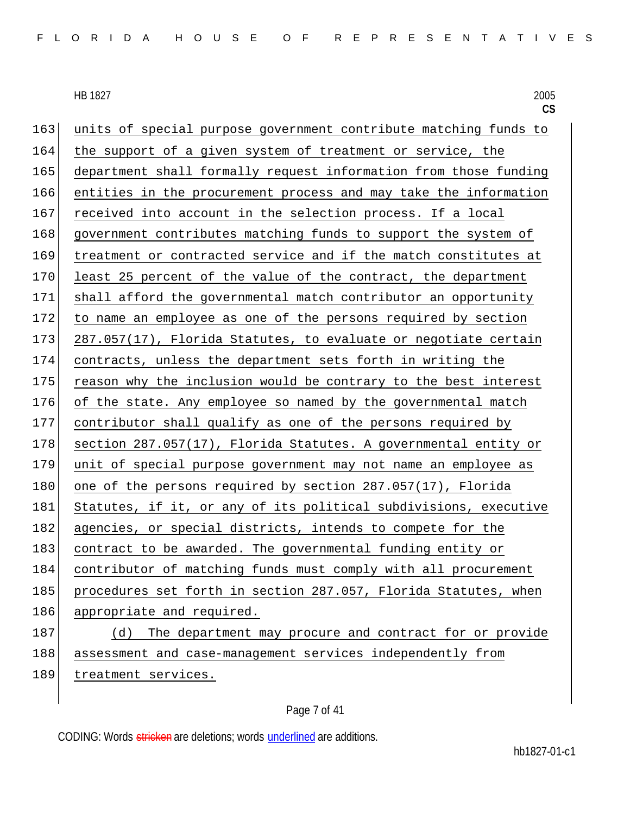163 units of special purpose government contribute matching funds to 164 the support of a given system of treatment or service, the 165 department shall formally request information from those funding 166 entities in the procurement process and may take the information 167 received into account in the selection process. If a local 168 government contributes matching funds to support the system of 169 treatment or contracted service and if the match constitutes at 170 least 25 percent of the value of the contract, the department 171 shall afford the governmental match contributor an opportunity 172 to name an employee as one of the persons required by section 173 287.057(17), Florida Statutes, to evaluate or negotiate certain 174 contracts, unless the department sets forth in writing the 175 reason why the inclusion would be contrary to the best interest 176 of the state. Any employee so named by the governmental match 177 contributor shall qualify as one of the persons required by 178 section 287.057(17), Florida Statutes. A governmental entity or 179 unit of special purpose government may not name an employee as 180 one of the persons required by section 287.057(17), Florida 181 Statutes, if it, or any of its political subdivisions, executive 182 agencies, or special districts, intends to compete for the 183 contract to be awarded. The governmental funding entity or 184 contributor of matching funds must comply with all procurement 185 procedures set forth in section 287.057, Florida Statutes, when 186 appropriate and required. 187 (d) The department may procure and contract for or provide 188 assessment and case-management services independently from 189 treatment services.

#### Page 7 of 41

CODING: Words stricken are deletions; words underlined are additions.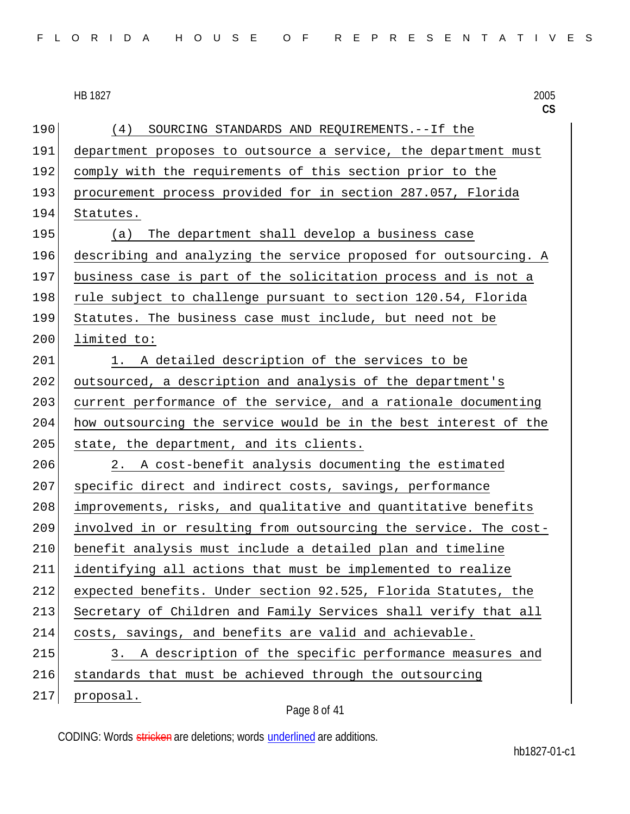|  |  |  |  |  |  |  | FLORIDA HOUSE OF REPRESENTATIVES |  |  |  |  |  |  |  |  |  |  |  |  |  |  |  |  |  |  |  |  |  |  |  |  |  |
|--|--|--|--|--|--|--|----------------------------------|--|--|--|--|--|--|--|--|--|--|--|--|--|--|--|--|--|--|--|--|--|--|--|--|--|
|--|--|--|--|--|--|--|----------------------------------|--|--|--|--|--|--|--|--|--|--|--|--|--|--|--|--|--|--|--|--|--|--|--|--|--|

**CS** 190 (4) SOURCING STANDARDS AND REQUIREMENTS.--If the 191 department proposes to outsource a service, the department must 192 comply with the requirements of this section prior to the 193 procurement process provided for in section 287.057, Florida 194 Statutes. 195 (a) The department shall develop a business case 196 describing and analyzing the service proposed for outsourcing. A 197 business case is part of the solicitation process and is not a 198 rule subject to challenge pursuant to section 120.54, Florida 199 Statutes. The business case must include, but need not be 200 limited to: 201 1. A detailed description of the services to be 202 outsourced, a description and analysis of the department's 203 current performance of the service, and a rationale documenting 204 how outsourcing the service would be in the best interest of the 205 state, the department, and its clients. 206 2. A cost-benefit analysis documenting the estimated 207 specific direct and indirect costs, savings, performance 208 improvements, risks, and qualitative and quantitative benefits 209 involved in or resulting from outsourcing the service. The cost-210 benefit analysis must include a detailed plan and timeline 211 identifying all actions that must be implemented to realize 212 expected benefits. Under section 92.525, Florida Statutes, the 213 Secretary of Children and Family Services shall verify that all 214 costs, savings, and benefits are valid and achievable. 215 3. A description of the specific performance measures and 216 standards that must be achieved through the outsourcing 217 proposal.

#### Page 8 of 41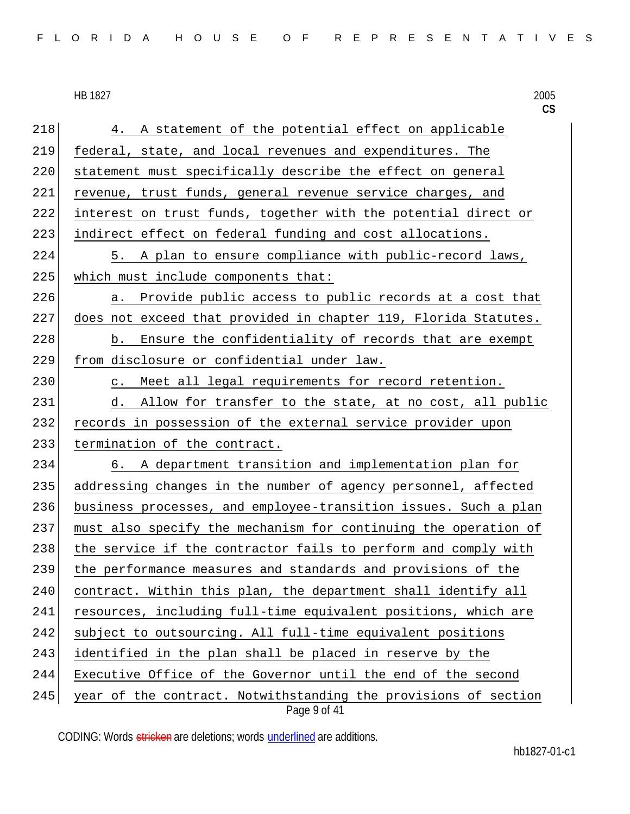|  |  |  |  |  |  |  |  |  |  | FLORIDA HOUSE OF REPRESENTATIVES |  |  |  |  |  |  |  |  |  |  |  |  |  |  |  |  |
|--|--|--|--|--|--|--|--|--|--|----------------------------------|--|--|--|--|--|--|--|--|--|--|--|--|--|--|--|--|
|--|--|--|--|--|--|--|--|--|--|----------------------------------|--|--|--|--|--|--|--|--|--|--|--|--|--|--|--|--|

**CS** Page 9 of 41 218 4. A statement of the potential effect on applicable 219 federal, state, and local revenues and expenditures. The 220 statement must specifically describe the effect on general 221 revenue, trust funds, general revenue service charges, and 222 interest on trust funds, together with the potential direct or 223 indirect effect on federal funding and cost allocations. 224 5. A plan to ensure compliance with public-record laws, 225 which must include components that: 226 a. Provide public access to public records at a cost that 227 does not exceed that provided in chapter 119, Florida Statutes. 228 b. Ensure the confidentiality of records that are exempt 229 from disclosure or confidential under law. 230 c. Meet all legal requirements for record retention. 231 d. Allow for transfer to the state, at no cost, all public 232 records in possession of the external service provider upon 233 termination of the contract. 234 6. A department transition and implementation plan for 235 addressing changes in the number of agency personnel, affected 236 business processes, and employee-transition issues. Such a plan 237 must also specify the mechanism for continuing the operation of 238 the service if the contractor fails to perform and comply with 239 the performance measures and standards and provisions of the 240 contract. Within this plan, the department shall identify all 241 resources, including full-time equivalent positions, which are 242 subject to outsourcing. All full-time equivalent positions 243 identified in the plan shall be placed in reserve by the 244 Executive Office of the Governor until the end of the second  $245$  year of the contract. Notwithstanding the provisions of section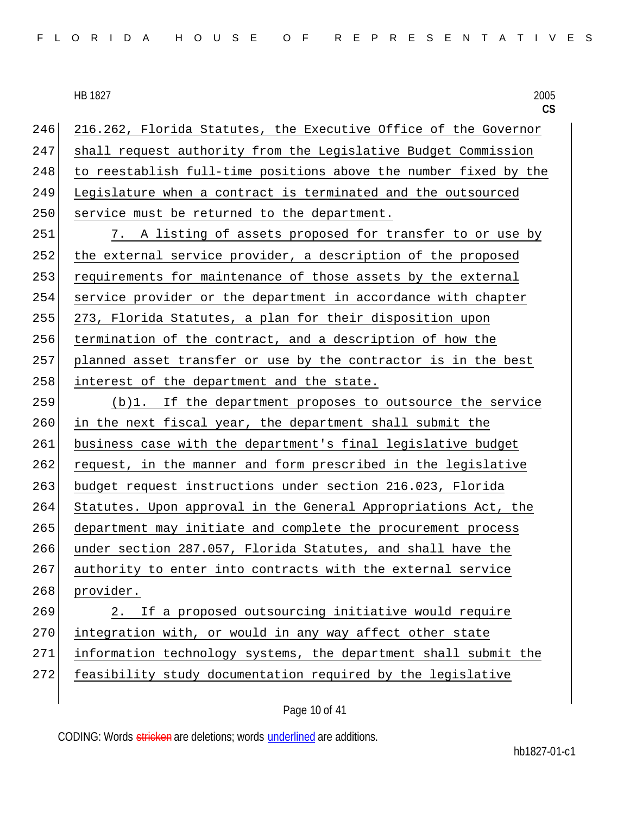246 216.262, Florida Statutes, the Executive Office of the Governor 247 shall request authority from the Legislative Budget Commission 248 to reestablish full-time positions above the number fixed by the 249 Legislature when a contract is terminated and the outsourced 250 service must be returned to the department.

251 7. A listing of assets proposed for transfer to or use by 252 the external service provider, a description of the proposed 253 requirements for maintenance of those assets by the external 254 service provider or the department in accordance with chapter 255 273, Florida Statutes, a plan for their disposition upon 256 termination of the contract, and a description of how the 257 planned asset transfer or use by the contractor is in the best 258 interest of the department and the state.

259 (b)1. If the department proposes to outsource the service 260 in the next fiscal year, the department shall submit the 261 business case with the department's final legislative budget 262 request, in the manner and form prescribed in the legislative 263 budget request instructions under section 216.023, Florida 264 Statutes. Upon approval in the General Appropriations Act, the 265 department may initiate and complete the procurement process 266 under section 287.057, Florida Statutes, and shall have the 267 authority to enter into contracts with the external service 268 provider.

 2. If a proposed outsourcing initiative would require 270 integration with, or would in any way affect other state information technology systems, the department shall submit the feasibility study documentation required by the legislative

Page 10 of 41

CODING: Words stricken are deletions; words underlined are additions.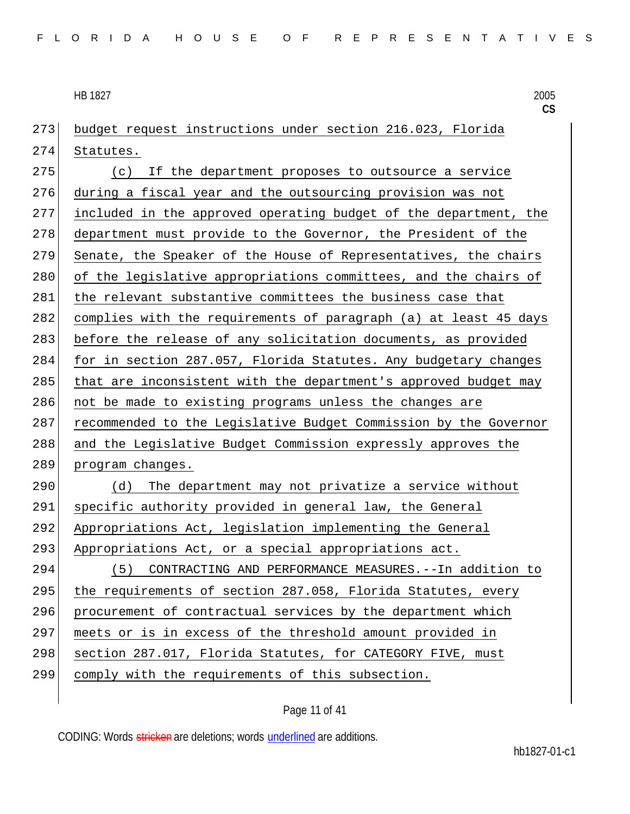**CS** 273 budget request instructions under section 216.023, Florida 274 Statutes. 275 (c) If the department proposes to outsource a service 276 during a fiscal year and the outsourcing provision was not 277 included in the approved operating budget of the department, the 278 department must provide to the Governor, the President of the 279 Senate, the Speaker of the House of Representatives, the chairs 280 of the legislative appropriations committees, and the chairs of 281 the relevant substantive committees the business case that 282 complies with the requirements of paragraph (a) at least 45 days 283 before the release of any solicitation documents, as provided 284 for in section 287.057, Florida Statutes. Any budgetary changes 285 that are inconsistent with the department's approved budget may 286 not be made to existing programs unless the changes are 287 recommended to the Legislative Budget Commission by the Governor 288 and the Legislative Budget Commission expressly approves the 289 program changes. 290 (d) The department may not privatize a service without 291 specific authority provided in general law, the General 292 Appropriations Act, legislation implementing the General 293 Appropriations Act, or a special appropriations act. 294 (5) CONTRACTING AND PERFORMANCE MEASURES.--In addition to 295 the requirements of section 287.058, Florida Statutes, every 296 procurement of contractual services by the department which 297 | meets or is in excess of the threshold amount provided in 298 section 287.017, Florida Statutes, for CATEGORY FIVE, must 299 comply with the requirements of this subsection.

#### Page 11 of 41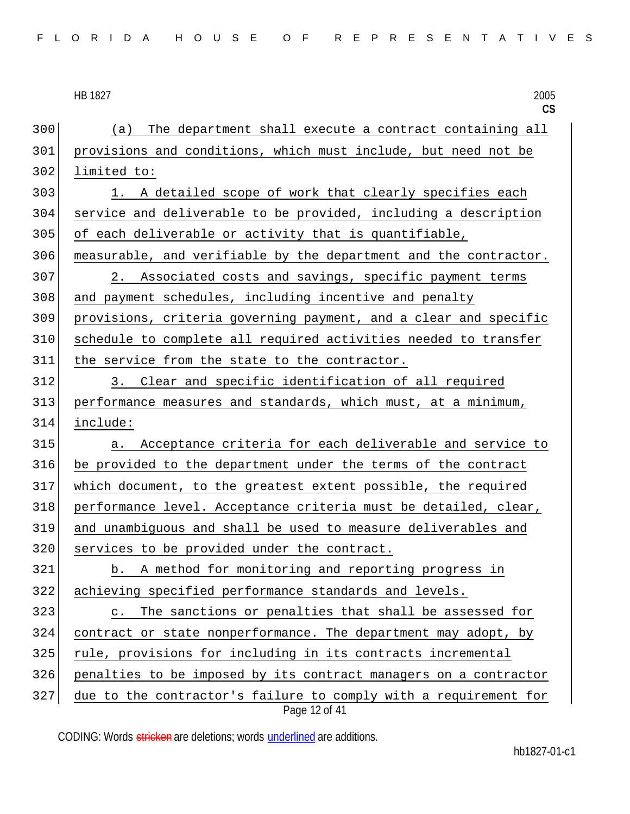**CS** (a) The department shall execute a contract containing all provisions and conditions, which must include, but need not be 302 limited to: 1. A detailed scope of work that clearly specifies each service and deliverable to be provided, including a description of each deliverable or activity that is quantifiable, measurable, and verifiable by the department and the contractor. 307 2. Associated costs and savings, specific payment terms and payment schedules, including incentive and penalty provisions, criteria governing payment, and a clear and specific schedule to complete all required activities needed to transfer the service from the state to the contractor. 3. Clear and specific identification of all required performance measures and standards, which must, at a minimum, include: a. Acceptance criteria for each deliverable and service to be provided to the department under the terms of the contract which document, to the greatest extent possible, the required performance level. Acceptance criteria must be detailed, clear, and unambiguous and shall be used to measure deliverables and 320 services to be provided under the contract. b. A method for monitoring and reporting progress in achieving specified performance standards and levels. c. The sanctions or penalties that shall be assessed for 324 contract or state nonperformance. The department may adopt, by rule, provisions for including in its contracts incremental penalties to be imposed by its contract managers on a contractor due to the contractor's failure to comply with a requirement for

Page 12 of 41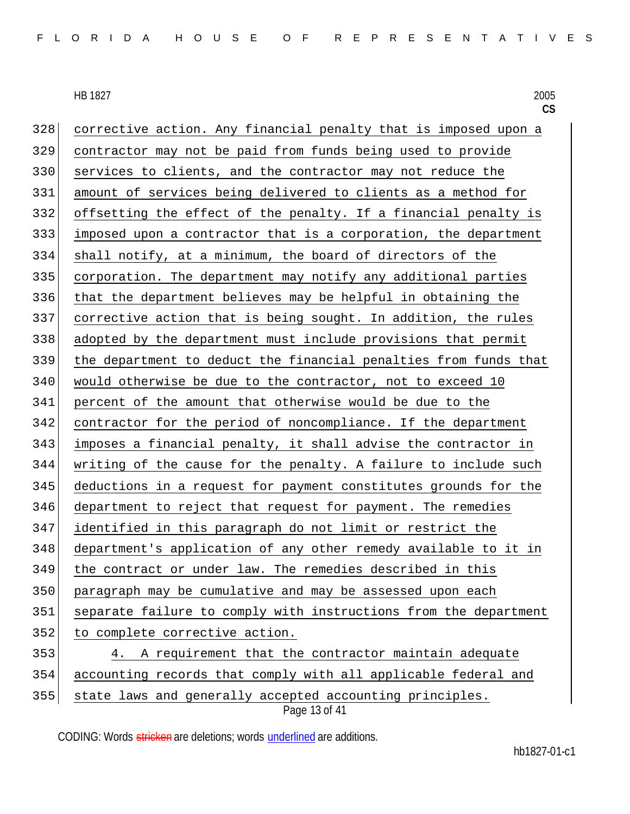Page 13 of 41 corrective action. Any financial penalty that is imposed upon a contractor may not be paid from funds being used to provide 330 services to clients, and the contractor may not reduce the amount of services being delivered to clients as a method for offsetting the effect of the penalty. If a financial penalty is imposed upon a contractor that is a corporation, the department shall notify, at a minimum, the board of directors of the corporation. The department may notify any additional parties that the department believes may be helpful in obtaining the corrective action that is being sought. In addition, the rules adopted by the department must include provisions that permit the department to deduct the financial penalties from funds that would otherwise be due to the contractor, not to exceed 10 percent of the amount that otherwise would be due to the contractor for the period of noncompliance. If the department imposes a financial penalty, it shall advise the contractor in writing of the cause for the penalty. A failure to include such deductions in a request for payment constitutes grounds for the 346 department to reject that request for payment. The remedies identified in this paragraph do not limit or restrict the department's application of any other remedy available to it in the contract or under law. The remedies described in this paragraph may be cumulative and may be assessed upon each separate failure to comply with instructions from the department 352 to complete corrective action. 4. A requirement that the contractor maintain adequate accounting records that comply with all applicable federal and 355 state laws and generally accepted accounting principles.

CODING: Words stricken are deletions; words underlined are additions.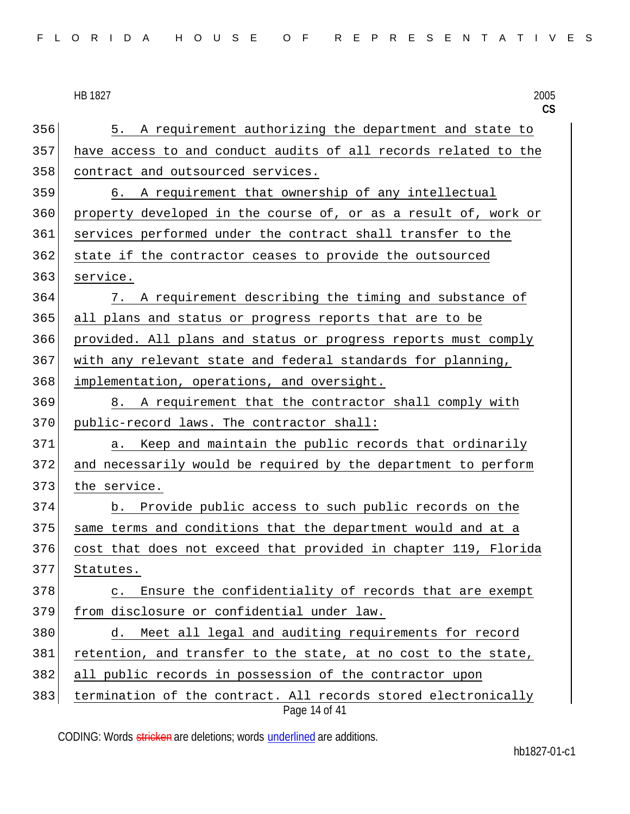|     | 2005<br>HB 1827<br>CS                                                           |
|-----|---------------------------------------------------------------------------------|
| 356 | A requirement authorizing the department and state to<br>5.                     |
| 357 | have access to and conduct audits of all records related to the                 |
| 358 | contract and outsourced services.                                               |
| 359 | A requirement that ownership of any intellectual<br>6.                          |
| 360 | property developed in the course of, or as a result of, work or                 |
| 361 | services performed under the contract shall transfer to the                     |
| 362 | state if the contractor ceases to provide the outsourced                        |
| 363 | service.                                                                        |
| 364 | A requirement describing the timing and substance of<br>7.                      |
| 365 | all plans and status or progress reports that are to be                         |
| 366 | provided. All plans and status or progress reports must comply                  |
| 367 | with any relevant state and federal standards for planning,                     |
| 368 | implementation, operations, and oversight.                                      |
| 369 | 8. A requirement that the contractor shall comply with                          |
| 370 | public-record laws. The contractor shall:                                       |
| 371 | Keep and maintain the public records that ordinarily<br>а.                      |
| 372 | and necessarily would be required by the department to perform                  |
| 373 | the service.                                                                    |
| 374 | Provide public access to such public records on the<br>b.                       |
| 375 | same terms and conditions that the department would and at a                    |
| 376 | cost that does not exceed that provided in chapter 119, Florida                 |
| 377 | Statutes.                                                                       |
| 378 | Ensure the confidentiality of records that are exempt<br>$\mathsf{C}$ .         |
| 379 | from disclosure or confidential under law.                                      |
| 380 | Meet all legal and auditing requirements for record<br>d.                       |
| 381 | retention, and transfer to the state, at no cost to the state,                  |
| 382 | all public records in possession of the contractor upon                         |
| 383 | termination of the contract. All records stored electronically<br>Page 14 of 41 |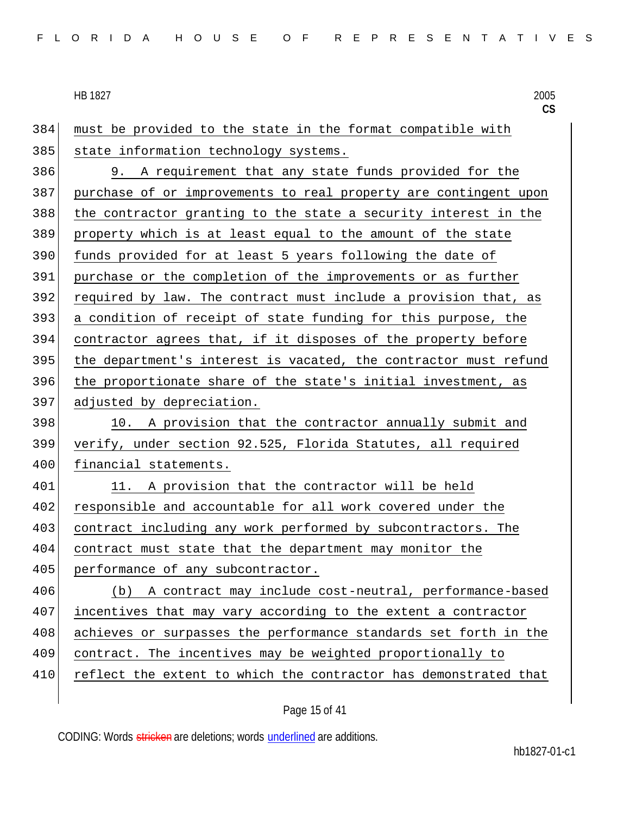must be provided to the state in the format compatible with 385 state information technology systems. 9. A requirement that any state funds provided for the purchase of or improvements to real property are contingent upon the contractor granting to the state a security interest in the property which is at least equal to the amount of the state funds provided for at least 5 years following the date of purchase or the completion of the improvements or as further required by law. The contract must include a provision that, as a condition of receipt of state funding for this purpose, the contractor agrees that, if it disposes of the property before the department's interest is vacated, the contractor must refund the proportionate share of the state's initial investment, as 397 adjusted by depreciation. 398 10. A provision that the contractor annually submit and verify, under section 92.525, Florida Statutes, all required 400 financial statements. 401 11. A provision that the contractor will be held responsible and accountable for all work covered under the 403 contract including any work performed by subcontractors. The contract must state that the department may monitor the 405 performance of any subcontractor. (b) A contract may include cost-neutral, performance-based incentives that may vary according to the extent a contractor 408 achieves or surpasses the performance standards set forth in the contract. The incentives may be weighted proportionally to 410 reflect the extent to which the contractor has demonstrated that

CODING: Words stricken are deletions; words underlined are additions.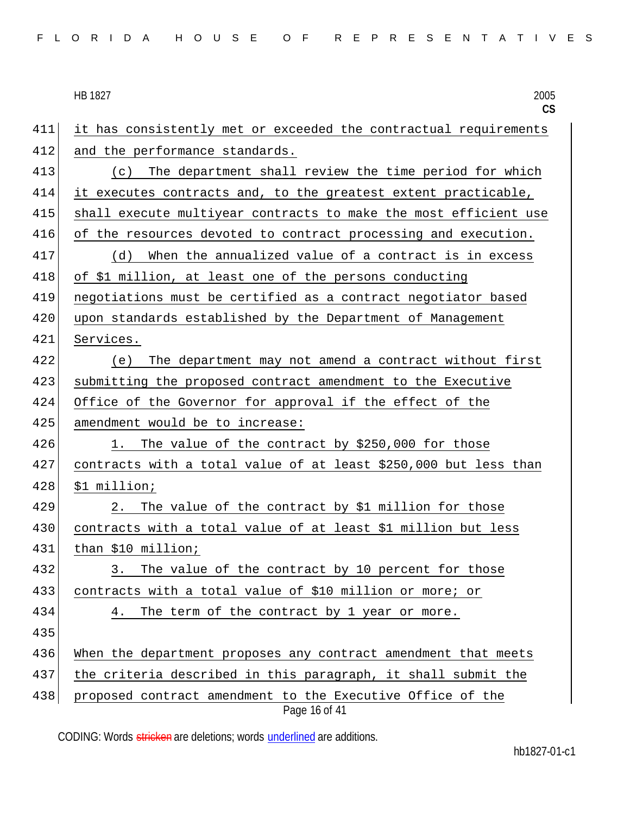| FLORIDA HOUSE OF REPRESENTATIVES |  |
|----------------------------------|--|
|----------------------------------|--|

HB 1827 2005 **CS** Page 16 of 41 411 it has consistently met or exceeded the contractual requirements 412 and the performance standards. 413 (c) The department shall review the time period for which 414 it executes contracts and, to the greatest extent practicable, 415 shall execute multiyear contracts to make the most efficient use 416 of the resources devoted to contract processing and execution. 417 (d) When the annualized value of a contract is in excess 418 of \$1 million, at least one of the persons conducting 419 negotiations must be certified as a contract negotiator based 420 upon standards established by the Department of Management 421 Services. 422 (e) The department may not amend a contract without first 423 submitting the proposed contract amendment to the Executive 424 Office of the Governor for approval if the effect of the 425 amendment would be to increase: 426 1. The value of the contract by \$250,000 for those 427 contracts with a total value of at least \$250,000 but less than  $428$   $$1$  million; 429 2. The value of the contract by \$1 million for those 430 contracts with a total value of at least \$1 million but less 431 than \$10 million; 432 3. The value of the contract by 10 percent for those 433 contracts with a total value of \$10 million or more; or 434 4. The term of the contract by 1 year or more. 435 436 When the department proposes any contract amendment that meets 437 the criteria described in this paragraph, it shall submit the 438 proposed contract amendment to the Executive Office of the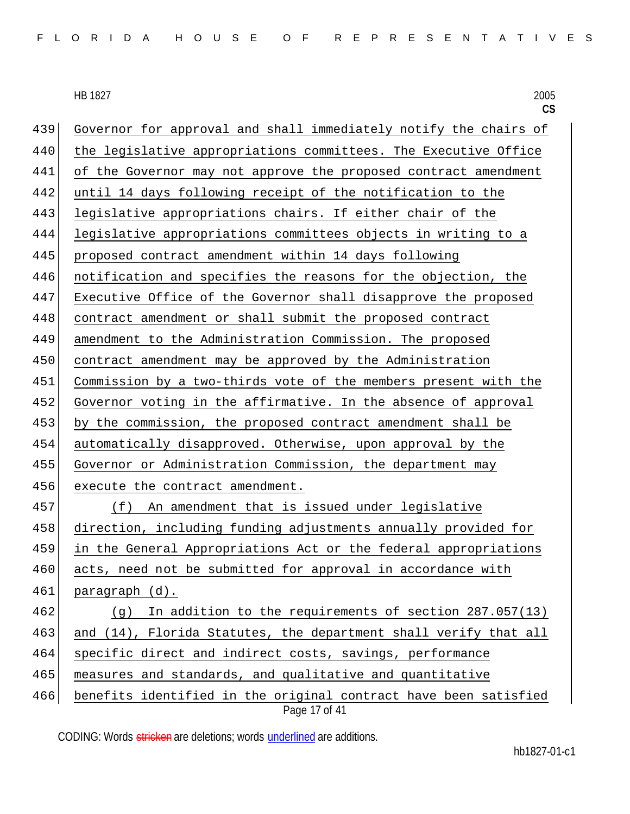HB 1827 HB 1827 2005

|     | CS                                                                                |
|-----|-----------------------------------------------------------------------------------|
| 439 | Governor for approval and shall immediately notify the chairs of                  |
| 440 | the legislative appropriations committees. The Executive Office                   |
| 441 | of the Governor may not approve the proposed contract amendment                   |
| 442 | until 14 days following receipt of the notification to the                        |
| 443 | legislative appropriations chairs. If either chair of the                         |
| 444 | legislative appropriations committees objects in writing to a                     |
| 445 | proposed contract amendment within 14 days following                              |
| 446 | notification and specifies the reasons for the objection, the                     |
| 447 | Executive Office of the Governor shall disapprove the proposed                    |
| 448 | contract amendment or shall submit the proposed contract                          |
| 449 | amendment to the Administration Commission. The proposed                          |
| 450 | contract amendment may be approved by the Administration                          |
| 451 | Commission by a two-thirds vote of the members present with the                   |
| 452 | Governor voting in the affirmative. In the absence of approval                    |
| 453 | by the commission, the proposed contract amendment shall be                       |
| 454 | automatically disapproved. Otherwise, upon approval by the                        |
| 455 | Governor or Administration Commission, the department may                         |
| 456 | execute the contract amendment.                                                   |
| 457 | An amendment that is issued under legislative<br>(f)                              |
| 458 | direction, including funding adjustments annually provided for                    |
| 459 | in the General Appropriations Act or the federal appropriations                   |
| 460 | acts, need not be submitted for approval in accordance with                       |
| 461 | paragraph (d).                                                                    |
| 462 | In addition to the requirements of section 287.057(13)<br>(g)                     |
| 463 | and (14), Florida Statutes, the department shall verify that all                  |
| 464 | specific direct and indirect costs, savings, performance                          |
| 465 | measures and standards, and qualitative and quantitative                          |
| 466 | benefits identified in the original contract have been satisfied<br>Page 17 of 41 |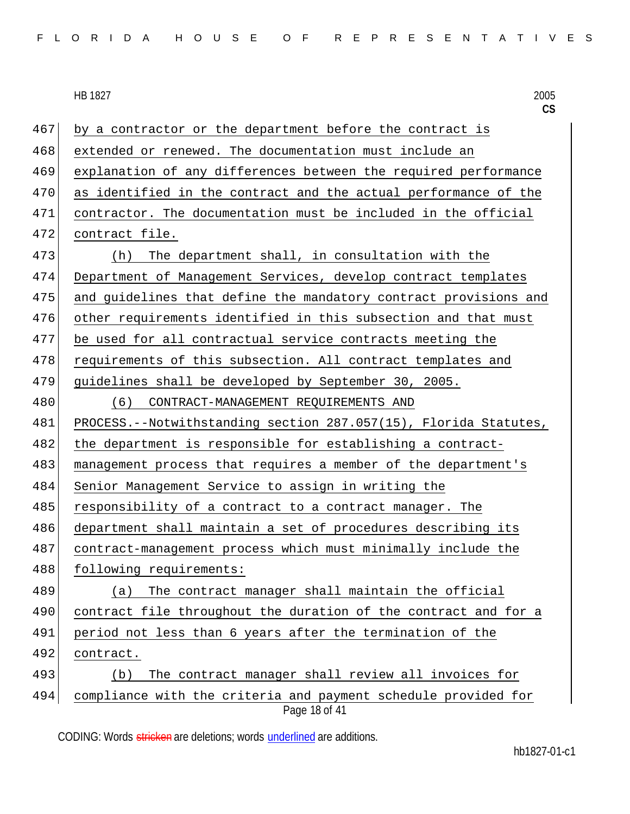**CS** Page 18 of 41  $467$  by a contractor or the department before the contract is 468 extended or renewed. The documentation must include an 469 explanation of any differences between the required performance 470 as identified in the contract and the actual performance of the 471 contractor. The documentation must be included in the official 472 contract file. 473 (h) The department shall, in consultation with the 474 Department of Management Services, develop contract templates 475 and guidelines that define the mandatory contract provisions and 476 other requirements identified in this subsection and that must 477 be used for all contractual service contracts meeting the 478 requirements of this subsection. All contract templates and 479 guidelines shall be developed by September 30, 2005. 480 (6) CONTRACT-MANAGEMENT REQUIREMENTS AND 481 PROCESS.--Notwithstanding section 287.057(15), Florida Statutes, 482 the department is responsible for establishing a contract-483 | management process that requires a member of the department's 484 Senior Management Service to assign in writing the 485 responsibility of a contract to a contract manager. The 486 department shall maintain a set of procedures describing its 487 contract-management process which must minimally include the 488 following requirements: 489 (a) The contract manager shall maintain the official 490 contract file throughout the duration of the contract and for a 491 period not less than 6 years after the termination of the 492 contract. 493 (b) The contract manager shall review all invoices for 494 compliance with the criteria and payment schedule provided for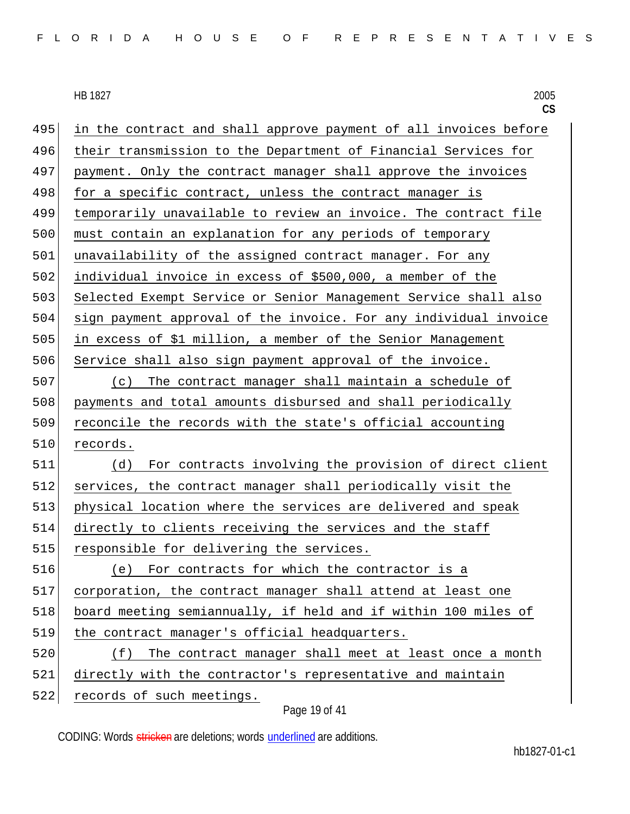**CS** 495 in the contract and shall approve payment of all invoices before 496 their transmission to the Department of Financial Services for 497 payment. Only the contract manager shall approve the invoices 498 for a specific contract, unless the contract manager is 499 temporarily unavailable to review an invoice. The contract file 500 must contain an explanation for any periods of temporary 501 unavailability of the assigned contract manager. For any 502 individual invoice in excess of \$500,000, a member of the 503 Selected Exempt Service or Senior Management Service shall also 504 sign payment approval of the invoice. For any individual invoice 505 in excess of \$1 million, a member of the Senior Management 506 Service shall also sign payment approval of the invoice. 507 (c) The contract manager shall maintain a schedule of 508 payments and total amounts disbursed and shall periodically 509 reconcile the records with the state's official accounting 510 records. 511 (d) For contracts involving the provision of direct client 512 services, the contract manager shall periodically visit the 513 physical location where the services are delivered and speak 514 directly to clients receiving the services and the staff 515 responsible for delivering the services. 516 (e) For contracts for which the contractor is a 517 corporation, the contract manager shall attend at least one 518 board meeting semiannually, if held and if within 100 miles of 519 the contract manager's official headquarters. 520 (f) The contract manager shall meet at least once a month 521 directly with the contractor's representative and maintain 522 records of such meetings.

Page 19 of 41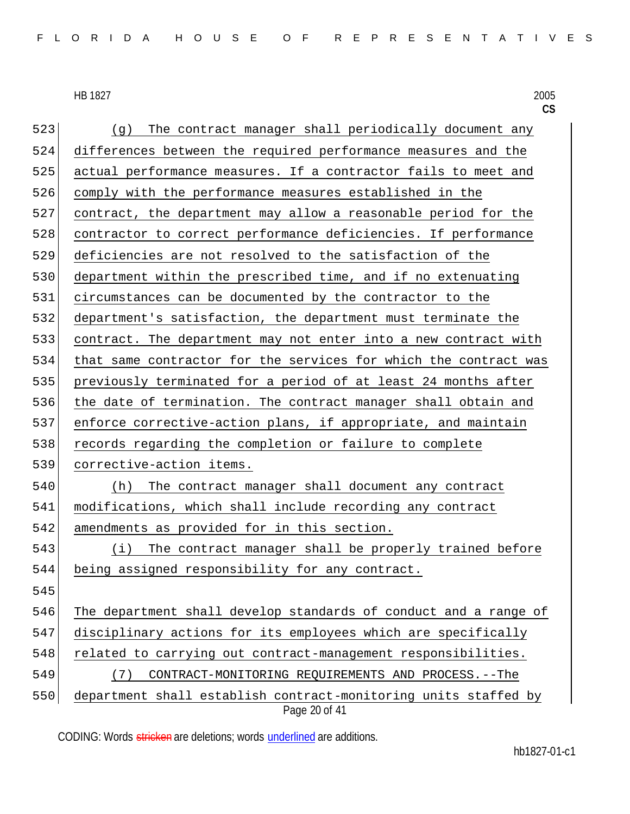HB 1827 HB 1827 2005

|     | CS                                                                               |
|-----|----------------------------------------------------------------------------------|
| 523 | The contract manager shall periodically document any<br>(g)                      |
| 524 | differences between the required performance measures and the                    |
| 525 | actual performance measures. If a contractor fails to meet and                   |
| 526 | comply with the performance measures established in the                          |
| 527 | contract, the department may allow a reasonable period for the                   |
| 528 | contractor to correct performance deficiencies. If performance                   |
| 529 | deficiencies are not resolved to the satisfaction of the                         |
| 530 | department within the prescribed time, and if no extenuating                     |
| 531 | circumstances can be documented by the contractor to the                         |
| 532 | department's satisfaction, the department must terminate the                     |
| 533 | contract. The department may not enter into a new contract with                  |
| 534 | that same contractor for the services for which the contract was                 |
| 535 | previously terminated for a period of at least 24 months after                   |
| 536 | the date of termination. The contract manager shall obtain and                   |
| 537 | enforce corrective-action plans, if appropriate, and maintain                    |
| 538 | records regarding the completion or failure to complete                          |
| 539 | corrective-action items.                                                         |
| 540 | The contract manager shall document any contract<br>(h)                          |
| 541 | modifications, which shall include recording any contract                        |
| 542 | amendments as provided for in this section.                                      |
| 543 | The contract manager shall be properly trained before<br>(i)                     |
| 544 | being assigned responsibility for any contract.                                  |
| 545 |                                                                                  |
| 546 | The department shall develop standards of conduct and a range of                 |
| 547 | disciplinary actions for its employees which are specifically                    |
| 548 | related to carrying out contract-management responsibilities.                    |
| 549 | CONTRACT-MONITORING REQUIREMENTS AND PROCESS. -- The<br>(7)                      |
| 550 | department shall establish contract-monitoring units staffed by<br>Page 20 of 41 |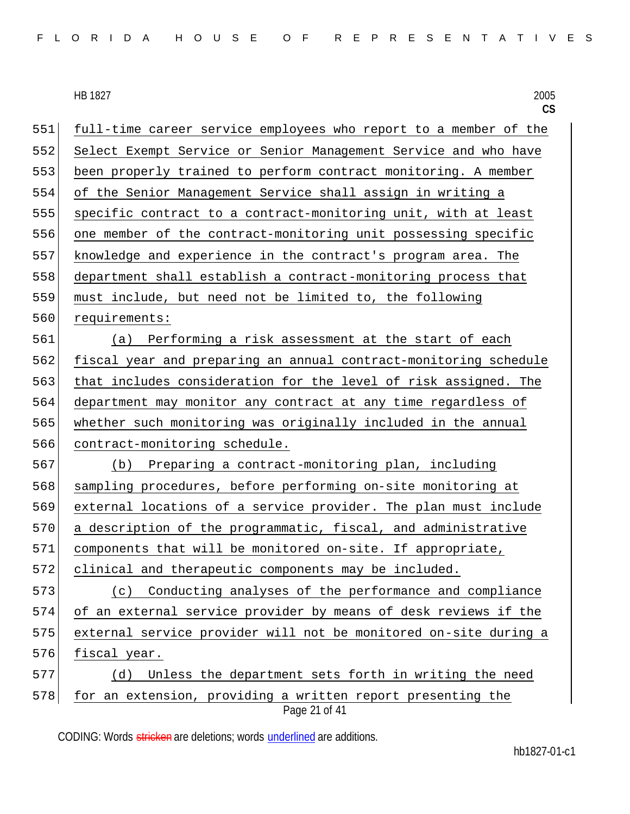**CS** Page 21 of 41 full-time career service employees who report to a member of the Select Exempt Service or Senior Management Service and who have been properly trained to perform contract monitoring. A member of the Senior Management Service shall assign in writing a specific contract to a contract-monitoring unit, with at least one member of the contract-monitoring unit possessing specific knowledge and experience in the contract's program area. The department shall establish a contract-monitoring process that must include, but need not be limited to, the following 560 requirements: (a) Performing a risk assessment at the start of each fiscal year and preparing an annual contract-monitoring schedule that includes consideration for the level of risk assigned. The department may monitor any contract at any time regardless of whether such monitoring was originally included in the annual contract-monitoring schedule. (b) Preparing a contract-monitoring plan, including 568 sampling procedures, before performing on-site monitoring at external locations of a service provider. The plan must include a description of the programmatic, fiscal, and administrative 571 components that will be monitored on-site. If appropriate, clinical and therapeutic components may be included. 573 (c) Conducting analyses of the performance and compliance of an external service provider by means of desk reviews if the external service provider will not be monitored on-site during a 576 fiscal year. 577 (d) Unless the department sets forth in writing the need 578 for an extension, providing a written report presenting the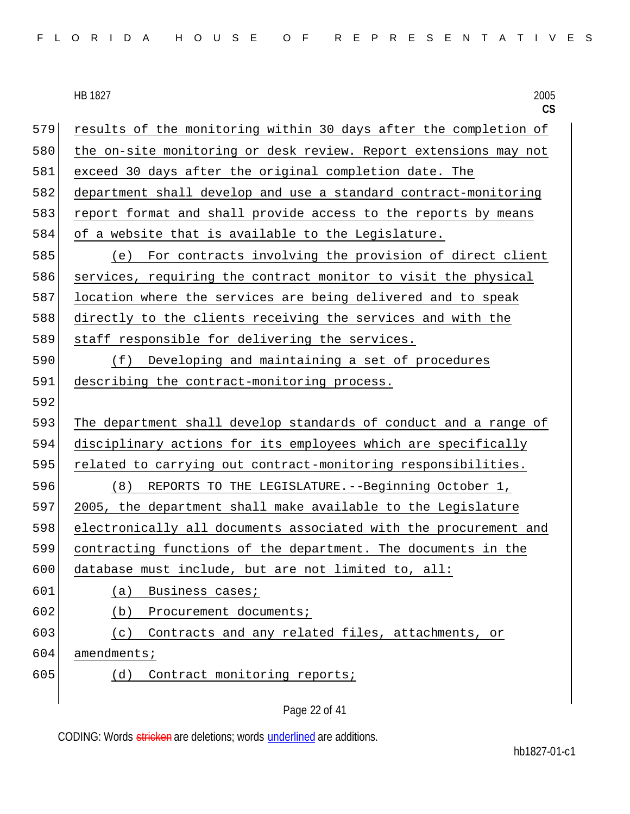| FLORIDA HOUSE OF REPRESENTATIVES |  |
|----------------------------------|--|
|----------------------------------|--|

HB 1827 2005 **CS** 579 results of the monitoring within 30 days after the completion of 580 the on-site monitoring or desk review. Report extensions may not 581 exceed 30 days after the original completion date. The 582 department shall develop and use a standard contract-monitoring 583 report format and shall provide access to the reports by means 584 of a website that is available to the Legislature. 585 (e) For contracts involving the provision of direct client 586 services, requiring the contract monitor to visit the physical 587 location where the services are being delivered and to speak 588 directly to the clients receiving the services and with the 589 staff responsible for delivering the services. 590 (f) Developing and maintaining a set of procedures 591 describing the contract-monitoring process. 592 593 The department shall develop standards of conduct and a range of 594 disciplinary actions for its employees which are specifically 595 related to carrying out contract-monitoring responsibilities. 596 (8) REPORTS TO THE LEGISLATURE.--Beginning October 1, 597 2005, the department shall make available to the Legislature 598 electronically all documents associated with the procurement and 599 contracting functions of the department. The documents in the 600 database must include, but are not limited to, all: 601 (a) Business cases; 602 (b) Procurement documents; 603 (c) Contracts and any related files, attachments, or 604 amendments; 605 (d) Contract monitoring reports;

Page 22 of 41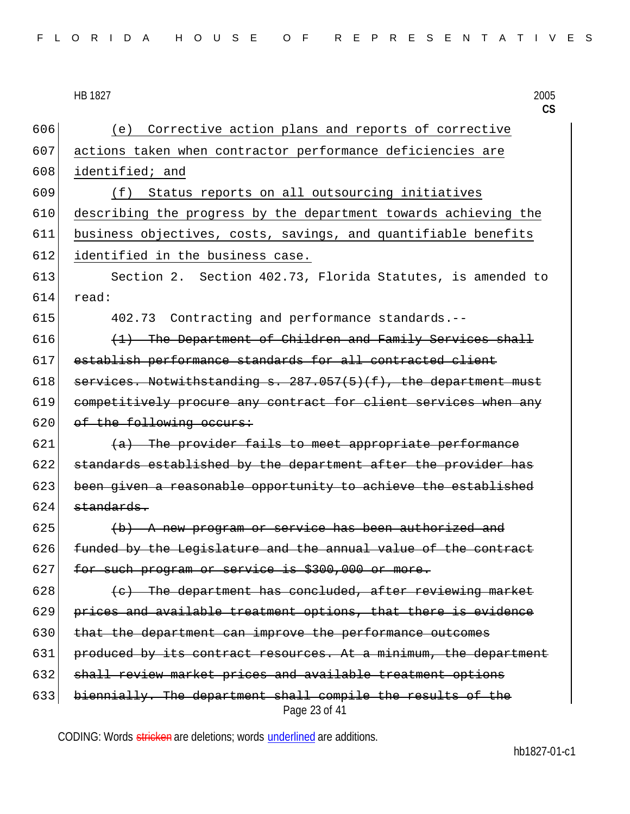| FLORIDA HOUSE OF REPRESENTATIVES |  |  |  |  |  |  |  |  |  |  |  |  |  |  |  |  |  |  |  |  |  |  |  |  |  |  |  |  |  |  |
|----------------------------------|--|--|--|--|--|--|--|--|--|--|--|--|--|--|--|--|--|--|--|--|--|--|--|--|--|--|--|--|--|--|
|----------------------------------|--|--|--|--|--|--|--|--|--|--|--|--|--|--|--|--|--|--|--|--|--|--|--|--|--|--|--|--|--|--|

Page 23 of 41 (e) Corrective action plans and reports of corrective actions taken when contractor performance deficiencies are 608 identified; and (f) Status reports on all outsourcing initiatives describing the progress by the department towards achieving the business objectives, costs, savings, and quantifiable benefits 612 identified in the business case. Section 2. Section 402.73, Florida Statutes, is amended to  $614$  read: 402.73 Contracting and performance standards.--  $(1)$  The Department of Children and Family Services shall establish performance standards for all contracted client 618 services. Notwithstanding s.  $287.057(5)(f)$ , the department must competitively procure any contract for client services when any 620 of the following occurs: (a) The provider fails to meet appropriate performance standards established by the department after the provider has been given a reasonable opportunity to achieve the established standards. (b) A new program or service has been authorized and funded by the Legislature and the annual value of the contract 627 for such program or service is \$300,000 or more. (c) The department has concluded, after reviewing market prices and available treatment options, that there is evidence 630 that the department can improve the performance outcomes 631 produced by its contract resources. At a minimum, the department 632 shall review market prices and available treatment options biennially. The department shall compile the results of the

CODING: Words stricken are deletions; words underlined are additions.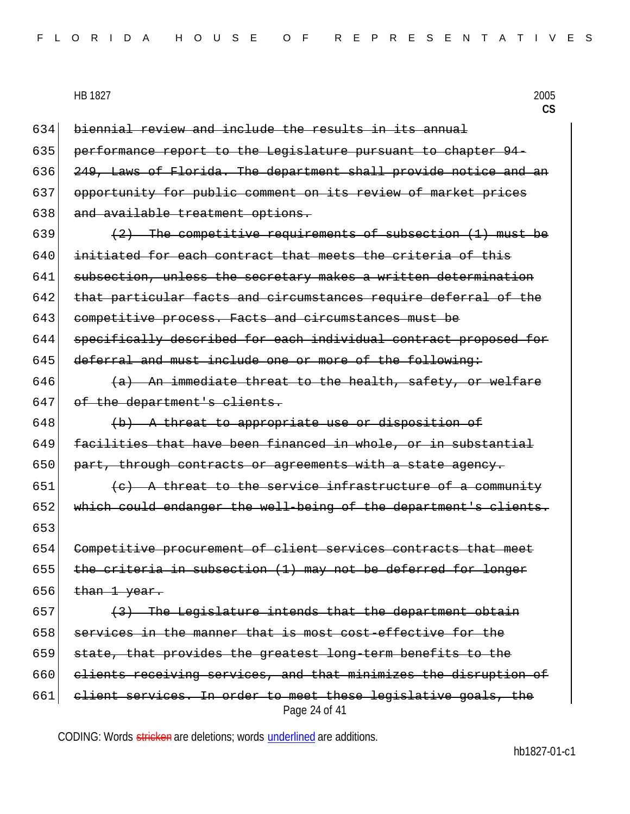|  |  |  |  |  |  |  |  |  |  |  |  |  |  | FLORIDA HOUSE OF REPRESENTATIVES |  |  |  |  |  |  |  |  |  |  |  |  |  |  |  |  |  |
|--|--|--|--|--|--|--|--|--|--|--|--|--|--|----------------------------------|--|--|--|--|--|--|--|--|--|--|--|--|--|--|--|--|--|
|--|--|--|--|--|--|--|--|--|--|--|--|--|--|----------------------------------|--|--|--|--|--|--|--|--|--|--|--|--|--|--|--|--|--|

|     | 2005<br>HB 1827<br>$\mathsf{CS}$                                                |
|-----|---------------------------------------------------------------------------------|
| 634 | biennial review and include the results in its annual                           |
| 635 | performance report to the Legislature pursuant to chapter 94-                   |
| 636 | 249, Laws of Florida. The department shall provide notice and an                |
| 637 | opportunity for public comment on its review of market prices                   |
| 638 | and available treatment options.                                                |
| 639 | (2) The competitive requirements of subsection (1) must be                      |
| 640 | initiated for each contract that meets the criteria of this                     |
| 641 | subsection, unless the secretary makes a written determination                  |
| 642 | that particular facts and circumstances require deferral of the                 |
| 643 | competitive process. Facts and circumstances must be                            |
| 644 | specifically described for each individual contract proposed for                |
| 645 | deferral and must include one or more of the following:                         |
| 646 | (a) An immediate threat to the health, safety, or welfare                       |
| 647 | of the department's clients.                                                    |
| 648 | (b) A threat to appropriate use or disposition of                               |
| 649 | facilities that have been financed in whole, or in substantial                  |
| 650 | part, through contracts or agreements with a state agency.                      |
| 651 | (c) A threat to the service infrastructure of a community                       |
| 652 | which could endanger the well-being of the department's clients.                |
| 653 |                                                                                 |
| 654 | Competitive procurement of client services contracts that meet                  |
| 655 | the criteria in subsection (1) may not be deferred for longer                   |
| 656 | than 1 year.                                                                    |
| 657 | The Legislature intends that the department obtain                              |
| 658 | services in the manner that is most cost-effective for the                      |
| 659 | state, that provides the greatest long-term benefits to the                     |
| 660 | clients receiving services, and that minimizes the disruption of                |
| 661 | elient services. In order to meet these legislative goals, the<br>Page 24 of 41 |

CODING: Words stricken are deletions; words underlined are additions.

hb1827-01-c1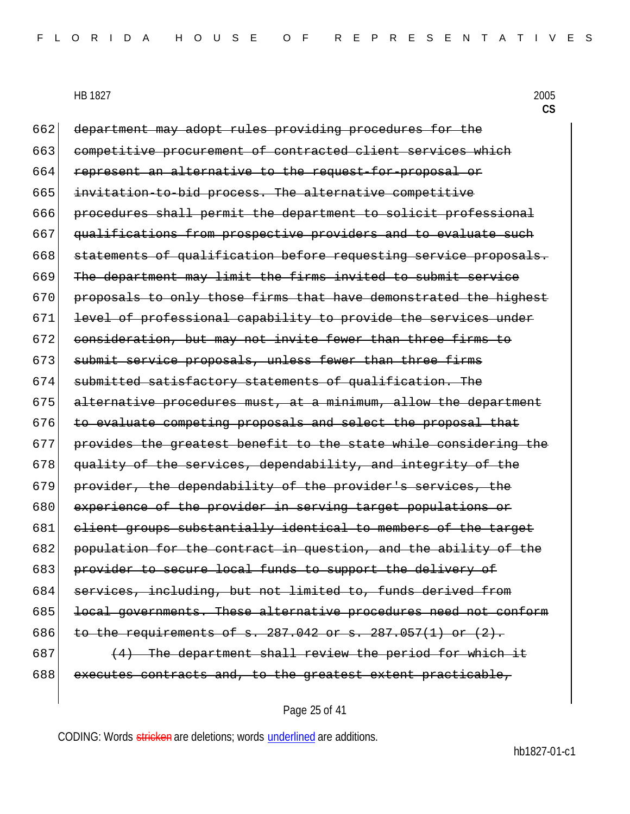662 department may adopt rules providing procedures for the 663 competitive procurement of contracted client services which 664 represent an alternative to the request-for-proposal or 665 invitation-to-bid process. The alternative competitive 666 procedures shall permit the department to solicit professional 667 qualifications from prospective providers and to evaluate such 668 statements of qualification before requesting service proposals. 669 The department may limit the firms invited to submit service 670 proposals to only those firms that have demonstrated the highest 671 level of professional capability to provide the services under 672 consideration, but may not invite fewer than three firms to 673 submit service proposals, unless fewer than three firms 674 submitted satisfactory statements of qualification. The  $675$  alternative procedures must, at a minimum, allow the department 676 to evaluate competing proposals and select the proposal that 677 provides the greatest benefit to the state while considering the 678 quality of the services, dependability, and integrity of the 679 provider, the dependability of the provider's services, the 680 experience of the provider in serving target populations or 681 client groups substantially identical to members of the target 682 population for the contract in question, and the ability of the 683 provider to secure local funds to support the delivery of 684 services, including, but not limited to, funds derived from 685 local governments. These alternative procedures need not conform 686 to the requirements of s. 287.042 or s. 287.057(1) or  $(2)$ .  $687$  (4) The department shall review the period for which it 688 executes contracts and, to the greatest extent practicable,

### Page 25 of 41

CODING: Words stricken are deletions; words underlined are additions.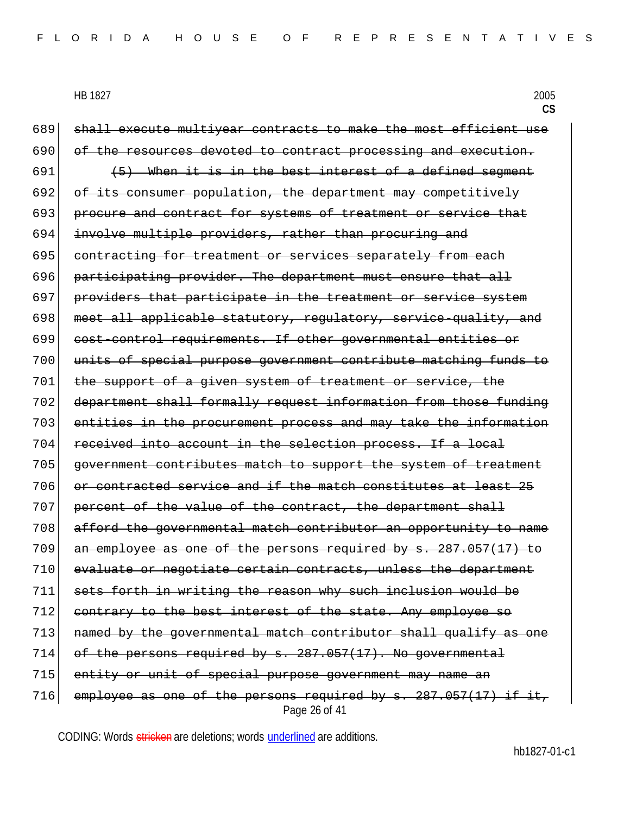Page 26 of 41 689 shall execute multiyear contracts to make the most efficient use 690 of the resources devoted to contract processing and execution. 691  $(5)$  When it is in the best interest of a defined segment 692 of its consumer population, the department may competitively 693 procure and contract for systems of treatment or service that 694 involve multiple providers, rather than procuring and 695 contracting for treatment or services separately from each 696 participating provider. The department must ensure that all 697 providers that participate in the treatment or service system 698 meet all applicable statutory, regulatory, service-quality, and 699 cost-control requirements. If other governmental entities or 700 units of special purpose government contribute matching funds to 701 the support of a given system of treatment or service, the 702 department shall formally request information from those funding 703 entities in the procurement process and may take the information 704 received into account in the selection process. If a local 705 government contributes match to support the system of treatment 706 or contracted service and if the match constitutes at least 25 707 percent of the value of the contract, the department shall 708 afford the governmental match contributor an opportunity to name  $709$  an employee as one of the persons required by s.  $287.057(17)$  to 710 evaluate or negotiate certain contracts, unless the department 711 sets forth in writing the reason why such inclusion would be 712 contrary to the best interest of the state. Any employee so 713 named by the governmental match contributor shall qualify as one  $714$  of the persons required by  $s. 287.057(17)$ . No governmental 715 entity or unit of special purpose government may name an 716 employee as one of the persons required by  $s. 287.057(17)$  if it,

CODING: Words stricken are deletions; words underlined are additions.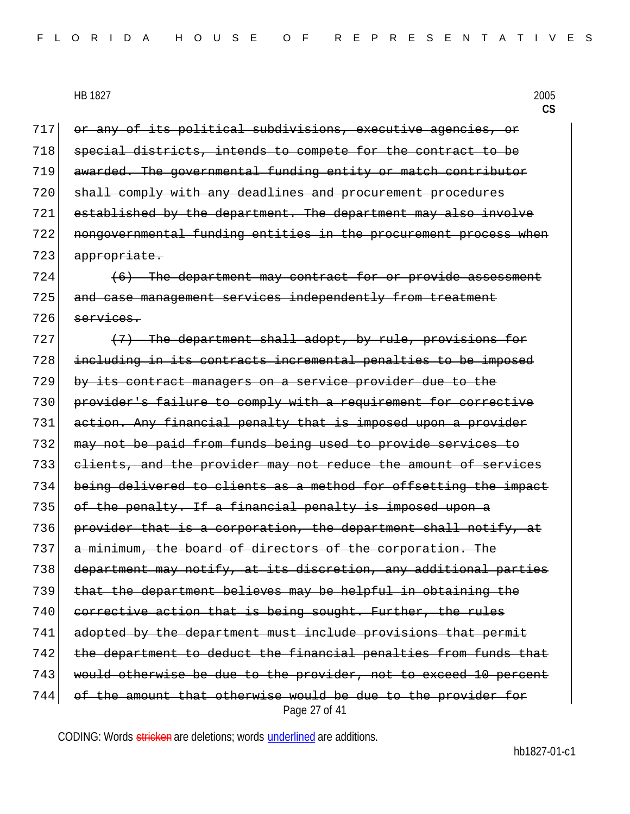| HB 1827 | 2005 |
|---------|------|
|---------|------|

**CS**

Page 27 of 41 717 or any of its political subdivisions, executive agencies, or 718 special districts, intends to compete for the contract to be awarded. The governmental funding entity or match contributor shall comply with any deadlines and procurement procedures established by the department. The department may also involve nongovernmental funding entities in the procurement process when 723 appropriate. (6) The department may contract for or provide assessment 725 and case management services independently from treatment services. (7) The department shall adopt, by rule, provisions for including in its contracts incremental penalties to be imposed by its contract managers on a service provider due to the provider's failure to comply with a requirement for corrective 731 action. Any financial penalty that is imposed upon a provider may not be paid from funds being used to provide services to clients, and the provider may not reduce the amount of services 734 being delivered to clients as a method for offsetting the impact of the penalty. If a financial penalty is imposed upon a 736 provider that is a corporation, the department shall notify, at a minimum, the board of directors of the corporation. The department may notify, at its discretion, any additional parties that the department believes may be helpful in obtaining the 740 corrective action that is being sought. Further, the rules 741 adopted by the department must include provisions that permit 742 the department to deduct the financial penalties from funds that would otherwise be due to the provider, not to exceed 10 percent of the amount that otherwise would be due to the provider for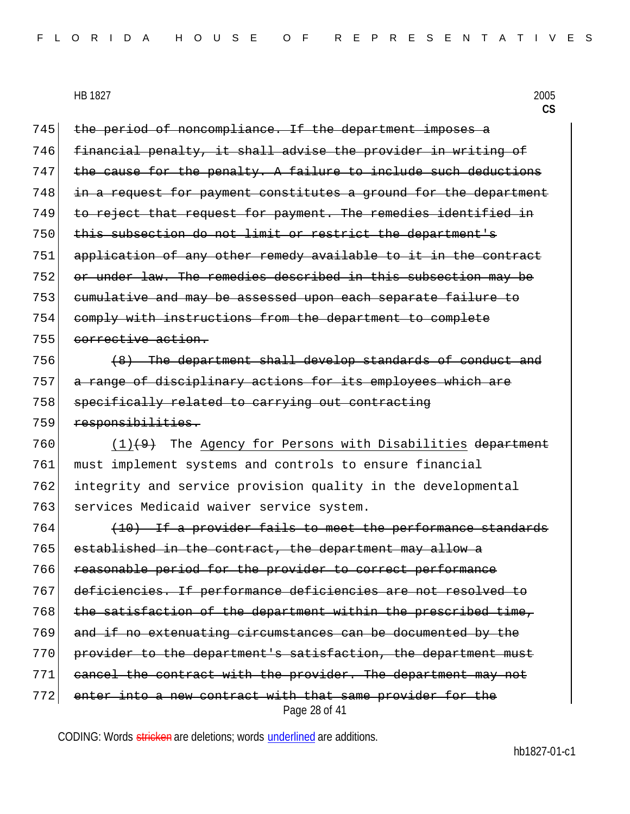745 the period of noncompliance. If the department imposes a 746 financial penalty, it shall advise the provider in writing of  $747$  the cause for the penalty. A failure to include such deductions 748 in a request for payment constitutes a ground for the department 749 to reject that request for payment. The remedies identified in 750 this subsection do not limit or restrict the department's 751 application of any other remedy available to it in the contract 752 or under law. The remedies described in this subsection may be 753 cumulative and may be assessed upon each separate failure to 754 comply with instructions from the department to complete 755 corrective action.

 $756$  (8) The department shall develop standards of conduct and 757 a range of disciplinary actions for its employees which are 758 specifically related to carrying out contracting 759 responsibilities.

760  $(1)$ (9) The Agency for Persons with Disabilities department 761 must implement systems and controls to ensure financial 762 integrity and service provision quality in the developmental 763 services Medicaid waiver service system.

Page 28 of 41 (10) If a provider fails to meet the performance standards established in the contract, the department may allow a reasonable period for the provider to correct performance deficiencies. If performance deficiencies are not resolved to the satisfaction of the department within the prescribed time, and if no extenuating circumstances can be documented by the 770 provider to the department's satisfaction, the department must cancel the contract with the provider. The department may not enter into a new contract with that same provider for the

CODING: Words stricken are deletions; words underlined are additions.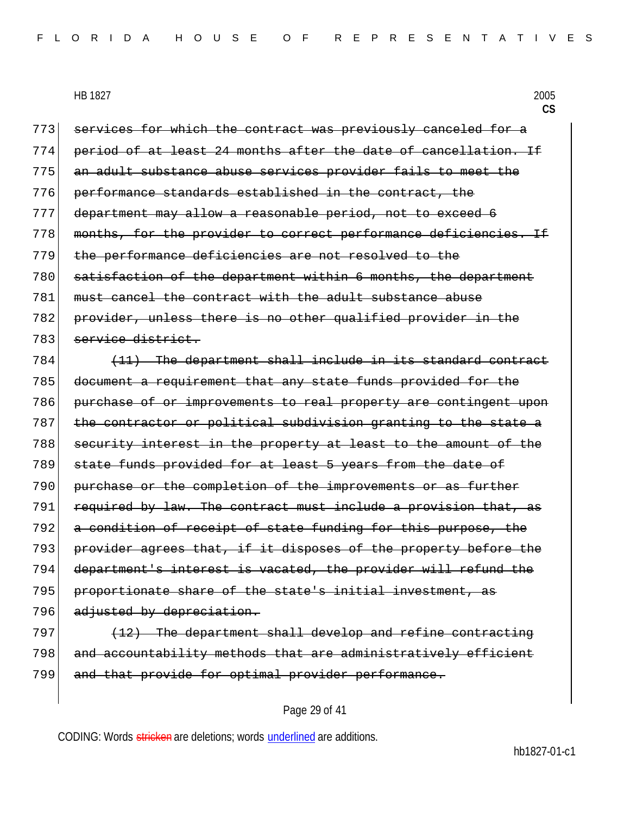773 services for which the contract was previously canceled for a 774 period of at least 24 months after the date of cancellation. If 775 an adult substance abuse services provider fails to meet the 776 performance standards established in the contract, the 777 department may allow a reasonable period, not to exceed 6 778 months, for the provider to correct performance deficiencies. If 779 the performance deficiencies are not resolved to the 780 satisfaction of the department within 6 months, the department 781 must cancel the contract with the adult substance abuse 782 provider, unless there is no other qualified provider in the 783 service district.  $784$  (11) The department shall include in its standard contract 785 document a requirement that any state funds provided for the 786 purchase of or improvements to real property are contingent upon 787 the contractor or political subdivision granting to the state a 788 security interest in the property at least to the amount of the 789 state funds provided for at least 5 years from the date of 790 purchase or the completion of the improvements or as further 791 required by law. The contract must include a provision that, as 792 a condition of receipt of state funding for this purpose, the 793 provider agrees that, if it disposes of the property before the 794 department's interest is vacated, the provider will refund the 795 proportionate share of the state's initial investment, as 796 adjusted by depreciation.  $797$  (12) The department shall develop and refine contracting 798 and accountability methods that are administratively efficient 799 and that provide for optimal provider performance.

#### Page 29 of 41

CODING: Words stricken are deletions; words underlined are additions.

hb1827-01-c1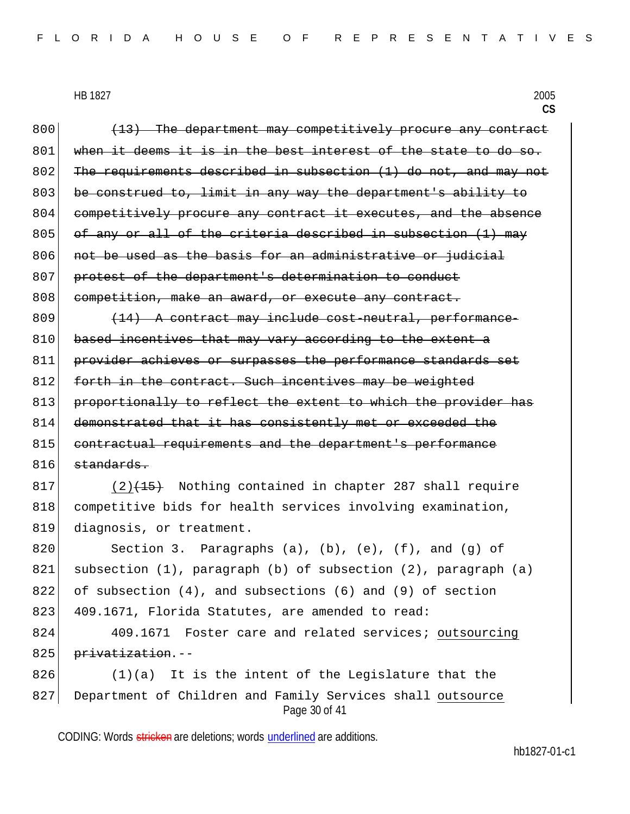Page 30 of 41  $800$  (13) The department may competitively procure any contract  $801$  when it deems it is in the best interest of the state to do so. 802 The requirements described in subsection (1) do not, and may not 803 be construed to, limit in any way the department's ability to 804 competitively procure any contract it executes, and the absence  $805$  of any or all of the criteria described in subsection (1) may 806 not be used as the basis for an administrative or judicial 807 protest of the department's determination to conduct 808 competition, make an award, or execute any contract.  $809$   $(14)$  A contract may include cost-neutral, performance-810 based incentives that may vary according to the extent a 811 provider achieves or surpasses the performance standards set 812 forth in the contract. Such incentives may be weighted 813 proportionally to reflect the extent to which the provider has 814 demonstrated that it has consistently met or exceeded the 815 contractual requirements and the department's performance  $816$  standards.  $817$  (2)<del>(15)</del> Nothing contained in chapter 287 shall require 818 competitive bids for health services involving examination, 819 diagnosis, or treatment. 820 Section 3. Paragraphs (a), (b), (e), (f), and (g) of 821 subsection (1), paragraph (b) of subsection (2), paragraph (a) 822 of subsection (4), and subsections (6) and (9) of section 823 409.1671, Florida Statutes, are amended to read: 824 409.1671 Foster care and related services; outsourcing 825 <del>privatization</del>.-- $826$  (1)(a) It is the intent of the Legislature that the 827 Department of Children and Family Services shall outsource

CODING: Words stricken are deletions; words underlined are additions.

hb1827-01-c1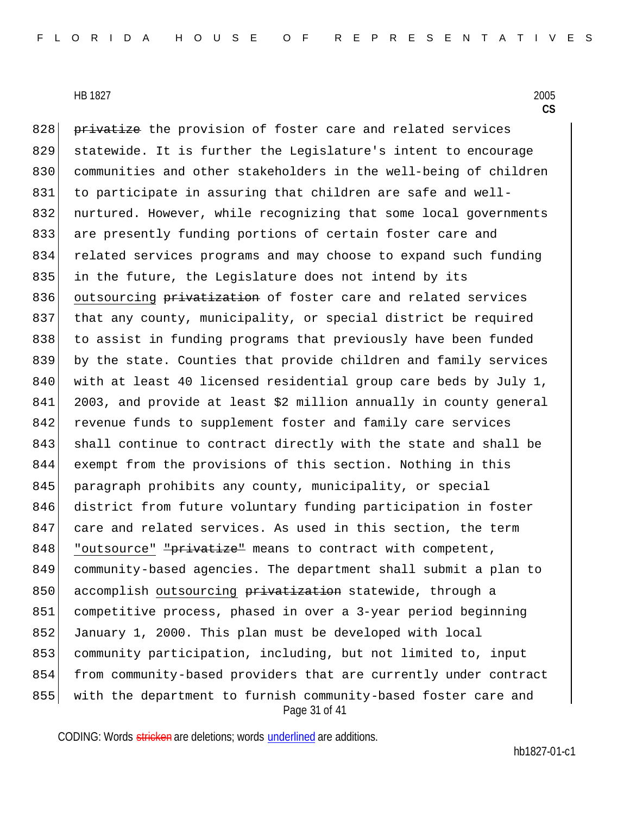Page 31 of 41 828 privatize the provision of foster care and related services 829 statewide. It is further the Legislature's intent to encourage 830 communities and other stakeholders in the well-being of children 831 to participate in assuring that children are safe and well-832 nurtured. However, while recognizing that some local governments 833 are presently funding portions of certain foster care and 834 related services programs and may choose to expand such funding 835 in the future, the Legislature does not intend by its 836 outsourcing privatization of foster care and related services 837 that any county, municipality, or special district be required 838 to assist in funding programs that previously have been funded 839 by the state. Counties that provide children and family services 840 with at least 40 licensed residential group care beds by July 1, 841 2003, and provide at least \$2 million annually in county general 842 revenue funds to supplement foster and family care services 843 shall continue to contract directly with the state and shall be 844 exempt from the provisions of this section. Nothing in this 845 paragraph prohibits any county, municipality, or special 846 district from future voluntary funding participation in foster 847 care and related services. As used in this section, the term 848 "outsource" "privatize" means to contract with competent, 849 community-based agencies. The department shall submit a plan to 850 accomplish outsourcing privatization statewide, through a 851 competitive process, phased in over a 3-year period beginning 852 January 1, 2000. This plan must be developed with local 853 community participation, including, but not limited to, input 854 from community-based providers that are currently under contract 855 with the department to furnish community-based foster care and

CODING: Words stricken are deletions; words underlined are additions.

hb1827-01-c1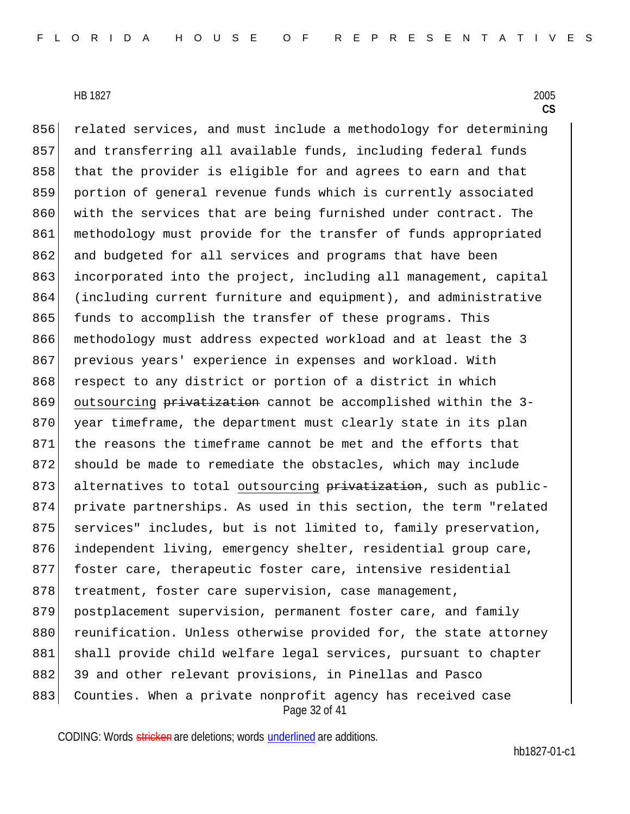Page 32 of 41 856 related services, and must include a methodology for determining 857 and transferring all available funds, including federal funds 858 that the provider is eligible for and agrees to earn and that 859 portion of general revenue funds which is currently associated 860 with the services that are being furnished under contract. The 861 methodology must provide for the transfer of funds appropriated 862 and budgeted for all services and programs that have been 863 incorporated into the project, including all management, capital 864 (including current furniture and equipment), and administrative 865 funds to accomplish the transfer of these programs. This 866 methodology must address expected workload and at least the 3 867 previous years' experience in expenses and workload. With 868 respect to any district or portion of a district in which 869 outsourcing privatization cannot be accomplished within the 3-870 year timeframe, the department must clearly state in its plan 871 the reasons the timeframe cannot be met and the efforts that 872 should be made to remediate the obstacles, which may include 873 alternatives to total outsourcing privatization, such as public-874 private partnerships. As used in this section, the term "related 875 services" includes, but is not limited to, family preservation, 876 independent living, emergency shelter, residential group care, 877 foster care, therapeutic foster care, intensive residential 878 treatment, foster care supervision, case management, 879 postplacement supervision, permanent foster care, and family 880 reunification. Unless otherwise provided for, the state attorney 881 shall provide child welfare legal services, pursuant to chapter 882 39 and other relevant provisions, in Pinellas and Pasco 883 Counties. When a private nonprofit agency has received case

CODING: Words stricken are deletions; words underlined are additions.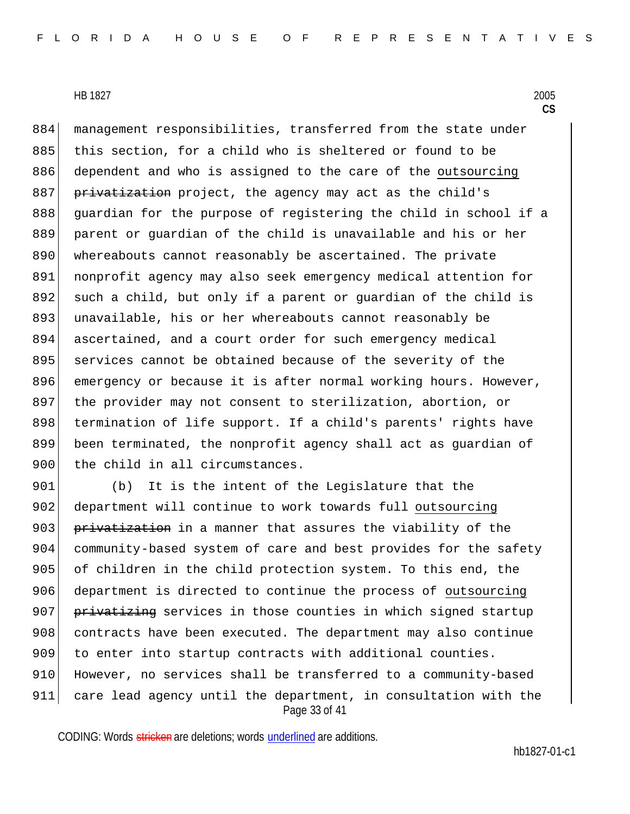884 management responsibilities, transferred from the state under 885 this section, for a child who is sheltered or found to be 886 dependent and who is assigned to the care of the outsourcing 887 privatization project, the agency may act as the child's 888 guardian for the purpose of registering the child in school if a 889 parent or guardian of the child is unavailable and his or her 890 whereabouts cannot reasonably be ascertained. The private 891 nonprofit agency may also seek emergency medical attention for 892 such a child, but only if a parent or guardian of the child is 893 unavailable, his or her whereabouts cannot reasonably be 894 ascertained, and a court order for such emergency medical 895 services cannot be obtained because of the severity of the 896 emergency or because it is after normal working hours. However, 897 the provider may not consent to sterilization, abortion, or 898 termination of life support. If a child's parents' rights have 899 been terminated, the nonprofit agency shall act as guardian of 900 the child in all circumstances.

Page 33 of 41 901 (b) It is the intent of the Legislature that the 902 department will continue to work towards full outsourcing 903 privatization in a manner that assures the viability of the 904 community-based system of care and best provides for the safety 905 of children in the child protection system. To this end, the 906 department is directed to continue the process of outsourcing 907 privatizing services in those counties in which signed startup 908 contracts have been executed. The department may also continue 909 to enter into startup contracts with additional counties. 910 However, no services shall be transferred to a community-based 911 care lead agency until the department, in consultation with the

CODING: Words stricken are deletions; words underlined are additions.

hb1827-01-c1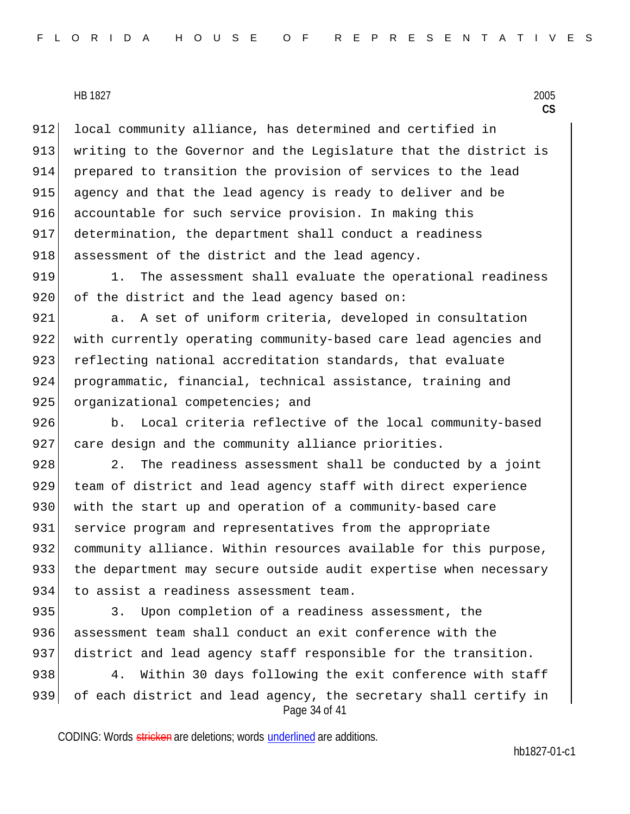912 local community alliance, has determined and certified in 913 writing to the Governor and the Legislature that the district is 914 prepared to transition the provision of services to the lead 915 agency and that the lead agency is ready to deliver and be 916 accountable for such service provision. In making this 917 determination, the department shall conduct a readiness 918 assessment of the district and the lead agency.

919 1. The assessment shall evaluate the operational readiness 920 of the district and the lead agency based on:

921 a. A set of uniform criteria, developed in consultation 922 with currently operating community-based care lead agencies and 923 reflecting national accreditation standards, that evaluate 924 programmatic, financial, technical assistance, training and 925 organizational competencies; and

926 b. Local criteria reflective of the local community-based 927 care design and the community alliance priorities.

928 2. The readiness assessment shall be conducted by a joint 929 team of district and lead agency staff with direct experience 930 with the start up and operation of a community-based care 931 service program and representatives from the appropriate 932 community alliance. Within resources available for this purpose, 933 the department may secure outside audit expertise when necessary 934 to assist a readiness assessment team.

935 3. Upon completion of a readiness assessment, the 936 assessment team shall conduct an exit conference with the 937 district and lead agency staff responsible for the transition.

Page 34 of 41 938 4. Within 30 days following the exit conference with staff 939 of each district and lead agency, the secretary shall certify in

CODING: Words stricken are deletions; words underlined are additions.

hb1827-01-c1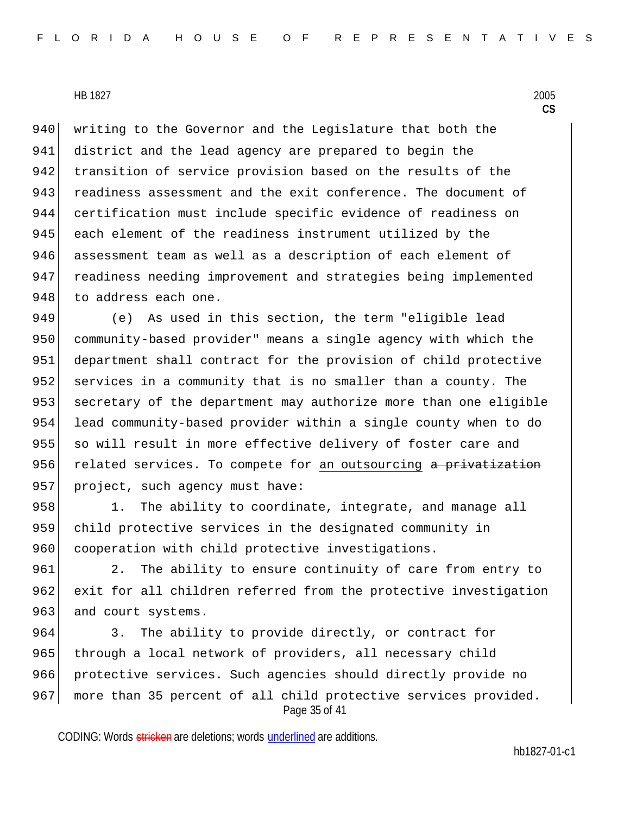940 writing to the Governor and the Legislature that both the 941 district and the lead agency are prepared to begin the 942 transition of service provision based on the results of the 943 readiness assessment and the exit conference. The document of 944 certification must include specific evidence of readiness on 945 each element of the readiness instrument utilized by the 946 assessment team as well as a description of each element of 947 readiness needing improvement and strategies being implemented 948 to address each one.

949 (e) As used in this section, the term "eligible lead 950 community-based provider" means a single agency with which the 951 department shall contract for the provision of child protective 952 services in a community that is no smaller than a county. The 953 secretary of the department may authorize more than one eligible 954 lead community-based provider within a single county when to do 955 so will result in more effective delivery of foster care and 956 related services. To compete for an outsourcing a privatization 957 project, such agency must have:

958 1. The ability to coordinate, integrate, and manage all 959 child protective services in the designated community in 960 cooperation with child protective investigations.

961 2. The ability to ensure continuity of care from entry to 962 exit for all children referred from the protective investigation 963 and court systems.

Page 35 of 41 964 3. The ability to provide directly, or contract for 965 through a local network of providers, all necessary child 966 protective services. Such agencies should directly provide no 967 more than 35 percent of all child protective services provided.

CODING: Words stricken are deletions; words underlined are additions.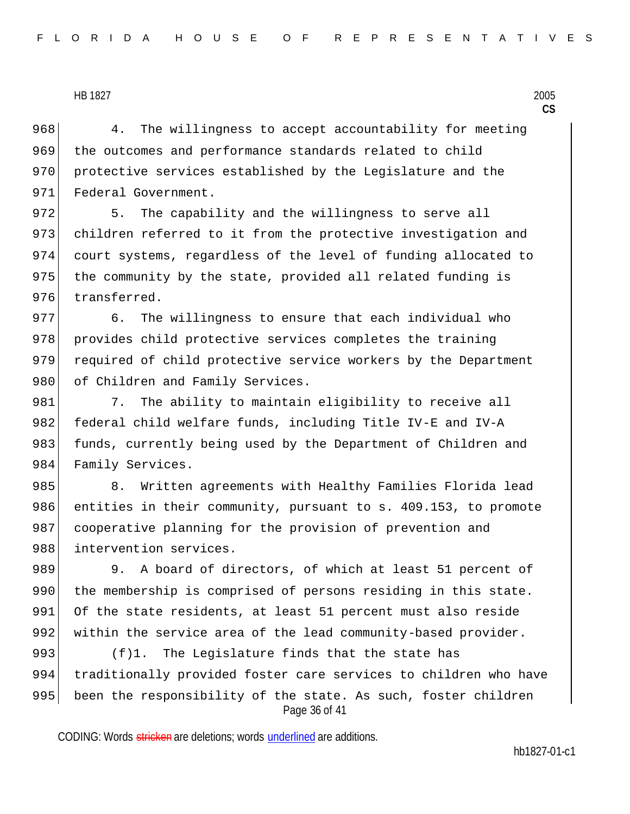968 4. The willingness to accept accountability for meeting 969 the outcomes and performance standards related to child 970 protective services established by the Legislature and the 971 Federal Government.

972 5. The capability and the willingness to serve all 973 children referred to it from the protective investigation and 974 court systems, regardless of the level of funding allocated to 975 | the community by the state, provided all related funding is 976 transferred.

977 6. The willingness to ensure that each individual who 978 provides child protective services completes the training 979 required of child protective service workers by the Department 980 of Children and Family Services.

981 7. The ability to maintain eligibility to receive all 982 federal child welfare funds, including Title IV-E and IV-A 983 funds, currently being used by the Department of Children and 984 Family Services.

985 8. Written agreements with Healthy Families Florida lead 986 entities in their community, pursuant to s. 409.153, to promote 987 cooperative planning for the provision of prevention and 988 intervention services.

989 9. A board of directors, of which at least 51 percent of 990 the membership is comprised of persons residing in this state. 991 Of the state residents, at least 51 percent must also reside 992 within the service area of the lead community-based provider.

Page 36 of 41 993  $(f)$ 1. The Legislature finds that the state has 994 traditionally provided foster care services to children who have 995 been the responsibility of the state. As such, foster children

CODING: Words stricken are deletions; words underlined are additions.

hb1827-01-c1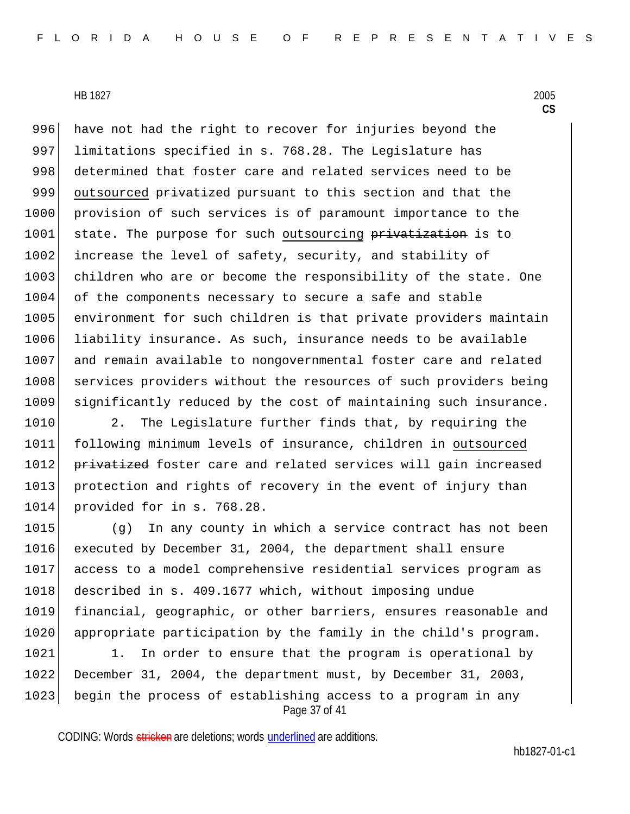996 have not had the right to recover for injuries beyond the 997 limitations specified in s. 768.28. The Legislature has 998 determined that foster care and related services need to be 999 outsourced privatized pursuant to this section and that the 1000 provision of such services is of paramount importance to the 1001 state. The purpose for such outsourcing privatization is to 1002 increase the level of safety, security, and stability of 1003 children who are or become the responsibility of the state. One 1004 of the components necessary to secure a safe and stable 1005 environment for such children is that private providers maintain 1006 liability insurance. As such, insurance needs to be available 1007 and remain available to nongovernmental foster care and related 1008 services providers without the resources of such providers being 1009 significantly reduced by the cost of maintaining such insurance.

1010 2. The Legislature further finds that, by requiring the 1011 following minimum levels of insurance, children in outsourced 1012 privatized foster care and related services will gain increased 1013 protection and rights of recovery in the event of injury than 1014 provided for in s. 768.28.

 (g) In any county in which a service contract has not been executed by December 31, 2004, the department shall ensure access to a model comprehensive residential services program as 1018 described in s. 409.1677 which, without imposing undue financial, geographic, or other barriers, ensures reasonable and 1020 appropriate participation by the family in the child's program.

Page 37 of 41 1021 1. In order to ensure that the program is operational by 1022 December 31, 2004, the department must, by December 31, 2003, 1023 begin the process of establishing access to a program in any

CODING: Words stricken are deletions; words underlined are additions.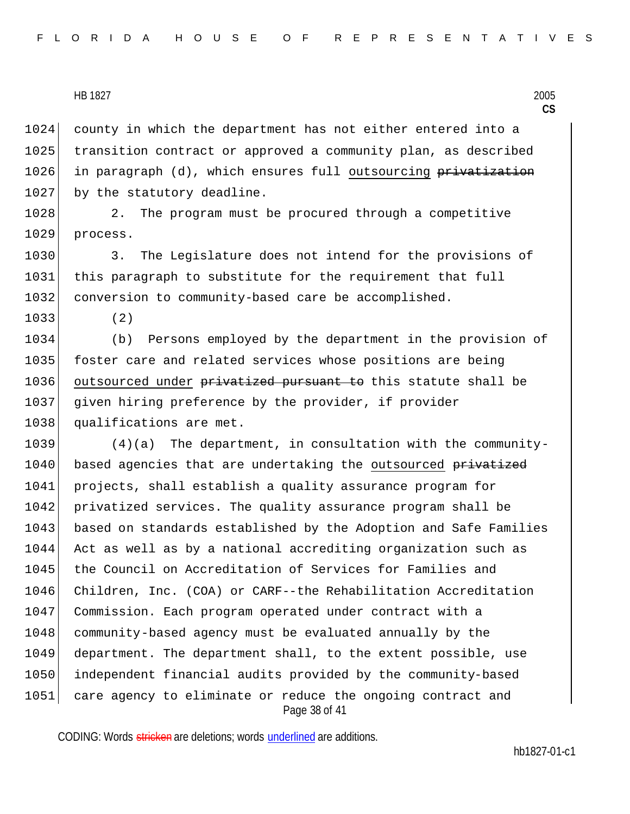1024 county in which the department has not either entered into a 1025 transition contract or approved a community plan, as described 1026 in paragraph (d), which ensures full outsourcing privatization 1027 by the statutory deadline.

1028 2. The program must be procured through a competitive 1029 process.

1030 3. The Legislature does not intend for the provisions of 1031 this paragraph to substitute for the requirement that full 1032 conversion to community-based care be accomplished.

1033 (2)

1034 (b) Persons employed by the department in the provision of 1035 foster care and related services whose positions are being 1036 outsourced under privatized pursuant to this statute shall be 1037 given hiring preference by the provider, if provider 1038 qualifications are met.

Page 38 of 41 1039 (4)(a) The department, in consultation with the community-1040 based agencies that are undertaking the outsourced privatized 1041 projects, shall establish a quality assurance program for 1042 privatized services. The quality assurance program shall be 1043 based on standards established by the Adoption and Safe Families 1044 Act as well as by a national accrediting organization such as 1045 | the Council on Accreditation of Services for Families and 1046 Children, Inc. (COA) or CARF--the Rehabilitation Accreditation 1047 Commission. Each program operated under contract with a 1048 community-based agency must be evaluated annually by the 1049 department. The department shall, to the extent possible, use 1050 independent financial audits provided by the community-based 1051 care agency to eliminate or reduce the ongoing contract and

CODING: Words stricken are deletions; words underlined are additions.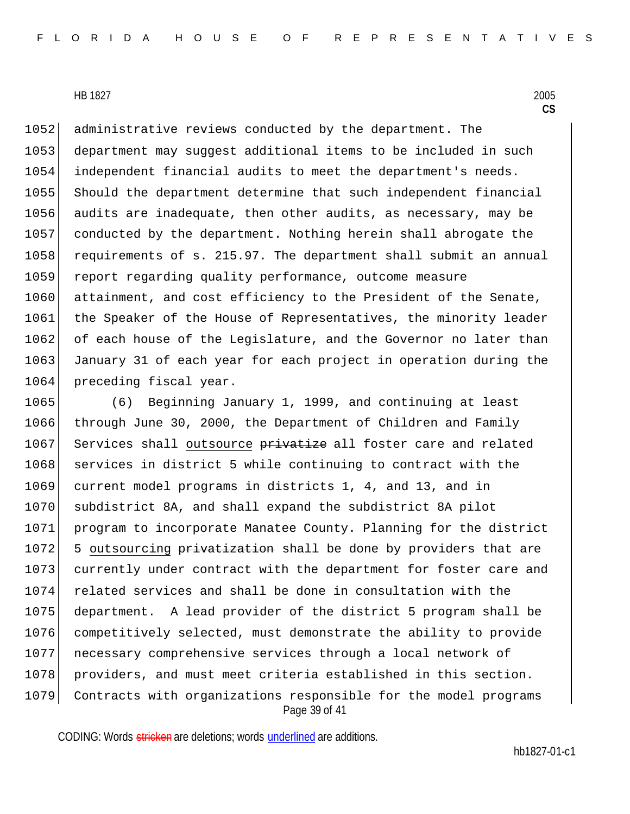1052 administrative reviews conducted by the department. The 1053 department may suggest additional items to be included in such 1054 independent financial audits to meet the department's needs. 1055 Should the department determine that such independent financial 1056 audits are inadequate, then other audits, as necessary, may be 1057 conducted by the department. Nothing herein shall abrogate the 1058 requirements of s. 215.97. The department shall submit an annual 1059 report regarding quality performance, outcome measure 1060 attainment, and cost efficiency to the President of the Senate, 1061 the Speaker of the House of Representatives, the minority leader 1062 of each house of the Legislature, and the Governor no later than 1063 January 31 of each year for each project in operation during the 1064 preceding fiscal year.

Page 39 of 41 1065 (6) Beginning January 1, 1999, and continuing at least 1066 through June 30, 2000, the Department of Children and Family 1067 Services shall outsource privatize all foster care and related 1068 services in district 5 while continuing to contract with the 1069 current model programs in districts 1, 4, and 13, and in 1070 subdistrict 8A, and shall expand the subdistrict 8A pilot 1071 program to incorporate Manatee County. Planning for the district 1072 5 outsourcing privatization shall be done by providers that are 1073 currently under contract with the department for foster care and 1074 related services and shall be done in consultation with the 1075 department. A lead provider of the district 5 program shall be 1076 competitively selected, must demonstrate the ability to provide 1077 necessary comprehensive services through a local network of 1078 providers, and must meet criteria established in this section. 1079 Contracts with organizations responsible for the model programs

CODING: Words stricken are deletions; words underlined are additions.

hb1827-01-c1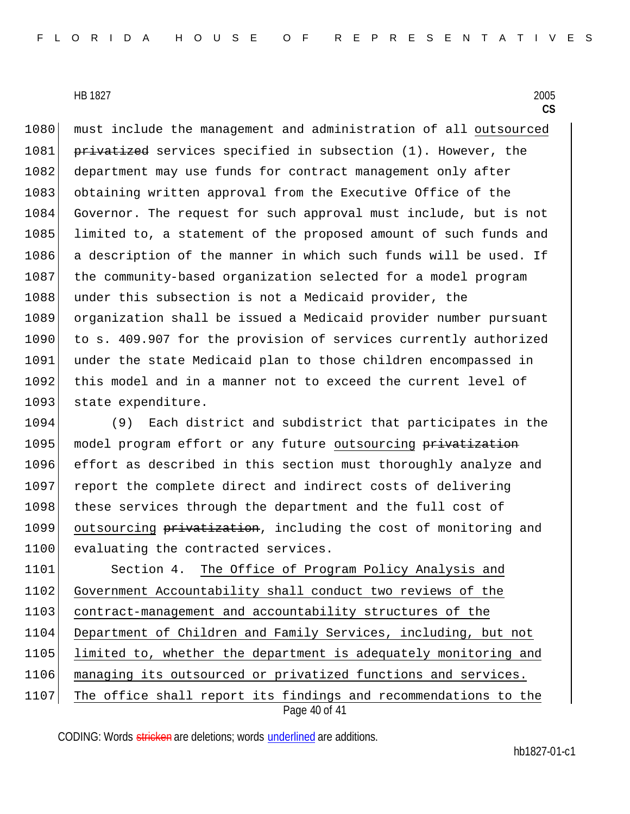1080 must include the management and administration of all outsourced 1081 privatized services specified in subsection (1). However, the 1082 department may use funds for contract management only after 1083 obtaining written approval from the Executive Office of the 1084 Governor. The request for such approval must include, but is not 1085 limited to, a statement of the proposed amount of such funds and 1086 a description of the manner in which such funds will be used. If 1087 the community-based organization selected for a model program 1088 under this subsection is not a Medicaid provider, the 1089 organization shall be issued a Medicaid provider number pursuant 1090 to s. 409.907 for the provision of services currently authorized 1091 under the state Medicaid plan to those children encompassed in 1092 this model and in a manner not to exceed the current level of 1093 state expenditure.

1094 (9) Each district and subdistrict that participates in the 1095 model program effort or any future outsourcing privatization 1096 effort as described in this section must thoroughly analyze and 1097 report the complete direct and indirect costs of delivering 1098 | these services through the department and the full cost of 1099 outsourcing privatization, including the cost of monitoring and 1100 evaluating the contracted services.

Page 40 of 41 1101 Section 4. The Office of Program Policy Analysis and 1102 Government Accountability shall conduct two reviews of the 1103 contract-management and accountability structures of the 1104 Department of Children and Family Services, including, but not 1105 limited to, whether the department is adequately monitoring and 1106 managing its outsourced or privatized functions and services. 1107 The office shall report its findings and recommendations to the

CODING: Words stricken are deletions; words underlined are additions.